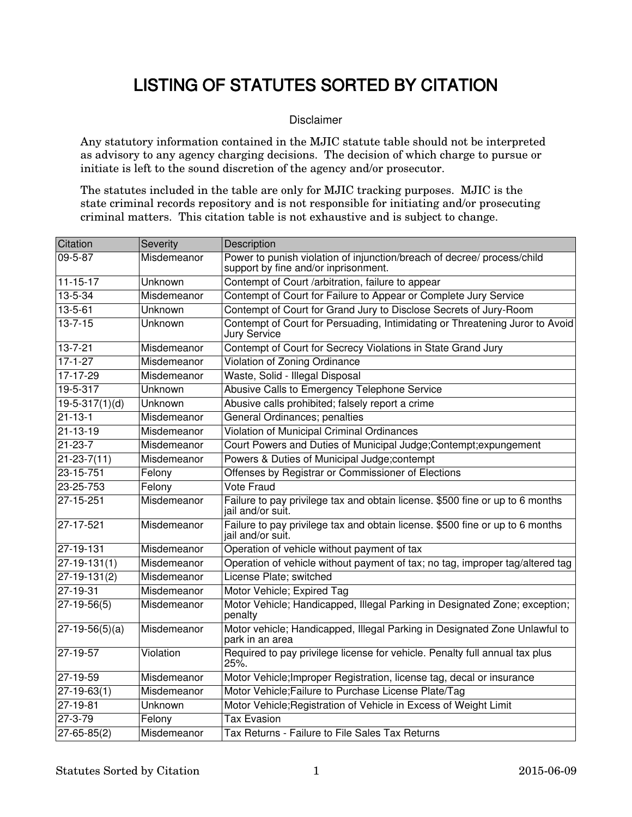## LISTING OF STATUTES SORTED BY CITATION

## Disclaimer

Any statutory information contained in the MJIC statute table should not be interpreted as advisory to any agency charging decisions. The decision of which charge to pursue or initiate is left to the sound discretion of the agency and/or prosecutor.

The statutes included in the table are only for MJIC tracking purposes. MJIC is the state criminal records repository and is not responsible for initiating and/or prosecuting criminal matters. This citation table is not exhaustive and is subject to change.

| Citation                  | Severity    | Description                                                                                                     |
|---------------------------|-------------|-----------------------------------------------------------------------------------------------------------------|
| $09 - 5 - 87$             | Misdemeanor | Power to punish violation of injunction/breach of decree/ process/child<br>support by fine and/or inprisonment. |
| $11 - 15 - 17$            | Unknown     | Contempt of Court /arbitration, failure to appear                                                               |
| $13 - 5 - 34$             | Misdemeanor | Contempt of Court for Failure to Appear or Complete Jury Service                                                |
| $13 - 5 - 61$             | Unknown     | Contempt of Court for Grand Jury to Disclose Secrets of Jury-Room                                               |
| $13 - 7 - 15$             | Unknown     | Contempt of Court for Persuading, Intimidating or Threatening Juror to Avoid<br>Jury Service                    |
| $13 - 7 - 21$             | Misdemeanor | Contempt of Court for Secrecy Violations in State Grand Jury                                                    |
| $17 - 1 - 27$             | Misdemeanor | <b>Violation of Zoning Ordinance</b>                                                                            |
| $17-17-29$                | Misdemeanor | Waste, Solid - Illegal Disposal                                                                                 |
| $19 - 5 - 317$            | Unknown     | Abusive Calls to Emergency Telephone Service                                                                    |
| $19-5-317(1)(d)$          | Unknown     | Abusive calls prohibited; falsely report a crime                                                                |
| $21 - 13 - 1$             | Misdemeanor | <b>General Ordinances; penalties</b>                                                                            |
| $21 - 13 - 19$            | Misdemeanor | <b>Violation of Municipal Criminal Ordinances</b>                                                               |
| $21 - 23 - 7$             | Misdemeanor | Court Powers and Duties of Municipal Judge; Contempt; expungement                                               |
| $21 - 23 - 7(11)$         | Misdemeanor | Powers & Duties of Municipal Judge;contempt                                                                     |
| 23-15-751                 | Felony      | Offenses by Registrar or Commissioner of Elections                                                              |
| 23-25-753                 | Felony      | <b>Vote Fraud</b>                                                                                               |
| 27-15-251                 | Misdemeanor | Failure to pay privilege tax and obtain license. \$500 fine or up to 6 months<br>jail and/or suit.              |
| 27-17-521                 | Misdemeanor | Failure to pay privilege tax and obtain license. \$500 fine or up to 6 months<br>jail and/or suit.              |
| 27-19-131                 | Misdemeanor | Operation of vehicle without payment of tax                                                                     |
| $27-19-131(1)$            | Misdemeanor | Operation of vehicle without payment of tax; no tag, improper tag/altered tag                                   |
| $27-19-131(2)$            | Misdemeanor | License Plate; switched                                                                                         |
| $27 - 19 - 31$            | Misdemeanor | Motor Vehicle; Expired Tag                                                                                      |
| $27-19-56(5)$             | Misdemeanor | Motor Vehicle; Handicapped, Illegal Parking in Designated Zone; exception;<br>penalty                           |
| $ 27-19-56(5)(a) $        | Misdemeanor | Motor vehicle; Handicapped, Illegal Parking in Designated Zone Unlawful to<br>park in an area                   |
| 27-19-57                  | Violation   | Required to pay privilege license for vehicle. Penalty full annual tax plus<br>25%                              |
| 27-19-59                  | Misdemeanor | Motor Vehicle; Improper Registration, license tag, decal or insurance                                           |
| 27-19-63(1)               | Misdemeanor | Motor Vehicle; Failure to Purchase License Plate/Tag                                                            |
| 27-19-81                  | Unknown     | Motor Vehicle; Registration of Vehicle in Excess of Weight Limit                                                |
| 27-3-79                   | Felony      | Tax Evasion                                                                                                     |
| $\overline{27}$ -65-85(2) | Misdemeanor | Tax Returns - Failure to File Sales Tax Returns                                                                 |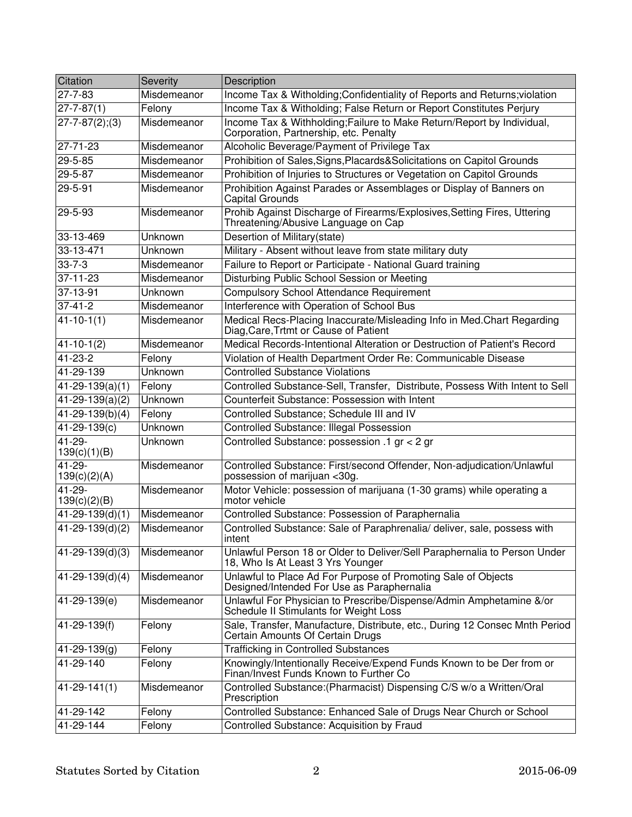| Citation                 | Severity       | Description                                                                                                      |
|--------------------------|----------------|------------------------------------------------------------------------------------------------------------------|
| 27-7-83                  | Misdemeanor    | Income Tax & Witholding; Confidentiality of Reports and Returns; violation                                       |
| $ 27 - 7 - 87(1) $       | Felony         | Income Tax & Witholding; False Return or Report Constitutes Perjury                                              |
| $27 - 7 - 87(2); (3)$    | Misdemeanor    | Income Tax & Withholding; Failure to Make Return/Report by Individual,<br>Corporation, Partnership, etc. Penalty |
| 27-71-23                 | Misdemeanor    | Alcoholic Beverage/Payment of Privilege Tax                                                                      |
| 29-5-85                  | Misdemeanor    | Prohibition of Sales, Signs, Placards& Solicitations on Capitol Grounds                                          |
| 29-5-87                  | Misdemeanor    | Prohibition of Injuries to Structures or Vegetation on Capitol Grounds                                           |
| 29-5-91                  | Misdemeanor    | Prohibition Against Parades or Assemblages or Display of Banners on<br>Capital Grounds                           |
| 29-5-93                  | Misdemeanor    | Prohib Against Discharge of Firearms/Explosives, Setting Fires, Uttering<br>Threatening/Abusive Language on Cap  |
| 33-13-469                | Unknown        | Desertion of Military(state)                                                                                     |
| 33-13-471                | Unknown        | Military - Absent without leave from state military duty                                                         |
| $33 - 7 - 3$             | Misdemeanor    | Failure to Report or Participate - National Guard training                                                       |
| 37-11-23                 | Misdemeanor    | Disturbing Public School Session or Meeting                                                                      |
| 37-13-91                 | Unknown        | <b>Compulsory School Attendance Requirement</b>                                                                  |
| $37 - 41 - 2$            | Misdemeanor    | Interference with Operation of School Bus                                                                        |
| $41 - 10 - 1(1)$         | Misdemeanor    | Medical Recs-Placing Inaccurate/Misleading Info in Med.Chart Regarding<br>Diag, Care, Trtmt or Cause of Patient  |
| $41 - 10 - 1(2)$         | Misdemeanor    | Medical Records-Intentional Alteration or Destruction of Patient's Record                                        |
| $41 - 23 - 2$            | Felony         | Violation of Health Department Order Re: Communicable Disease                                                    |
| 41-29-139                | Unknown        | <b>Controlled Substance Violations</b>                                                                           |
| $\sqrt{41-29-139(a)}(1)$ | Felony         | Controlled Substance-Sell, Transfer, Distribute, Possess With Intent to Sell                                     |
| $41 - 29 - 139(a)(2)$    | <b>Unknown</b> | Counterfeit Substance: Possession with Intent                                                                    |
| $41 - 29 - 139(b)(4)$    | Felony         | Controlled Substance; Schedule III and IV                                                                        |
| 41-29-139(c)             | Unknown        | <b>Controlled Substance: Illegal Possession</b>                                                                  |
| 41-29-<br>139(c)(1)(B)   | Unknown        | Controlled Substance: possession .1 gr < 2 gr                                                                    |
| 41-29-<br>139(c)(2)(A)   | Misdemeanor    | Controlled Substance: First/second Offender, Non-adjudication/Unlawful<br>possession of marijuan <30g.           |
| 41-29-<br>139(c)(2)(B)   | Misdemeanor    | Motor Vehicle: possession of marijuana (1-30 grams) while operating a<br>motor vehicle                           |
| $41 - 29 - 139(d)(1)$    | Misdemeanor    | Controlled Substance: Possession of Paraphernalia                                                                |
| $41 - 29 - 139(d)(2)$    | Misdemeanor    | Controlled Substance: Sale of Paraphrenalia/ deliver, sale, possess with<br>intent                               |
| $41 - 29 - 139(d)(3)$    | Misdemeanor    | Unlawful Person 18 or Older to Deliver/Sell Paraphernalia to Person Under<br>18, Who Is At Least 3 Yrs Younger   |
| $41 - 29 - 139(d)(4)$    | Misdemeanor    | Unlawful to Place Ad For Purpose of Promoting Sale of Objects<br>Designed/Intended For Use as Paraphernalia      |
| 41-29-139(e)             | Misdemeanor    | Unlawful For Physician to Prescribe/Dispense/Admin Amphetamine &/or<br>Schedule II Stimulants for Weight Loss    |
| 41-29-139(f)             | Felony         | Sale, Transfer, Manufacture, Distribute, etc., During 12 Consec Mnth Period<br>Certain Amounts Of Certain Drugs  |
| $41 - 29 - 139(g)$       | Felony         | <b>Trafficking in Controlled Substances</b>                                                                      |
| 41-29-140                | Felony         | Knowingly/Intentionally Receive/Expend Funds Known to be Der from or<br>Finan/Invest Funds Known to Further Co   |
| $41 - 29 - 141(1)$       | Misdemeanor    | Controlled Substance: (Pharmacist) Dispensing C/S w/o a Written/Oral<br>Prescription                             |
| 41-29-142                | Felony         | Controlled Substance: Enhanced Sale of Drugs Near Church or School                                               |
| 41-29-144                | Felony         | Controlled Substance: Acquisition by Fraud                                                                       |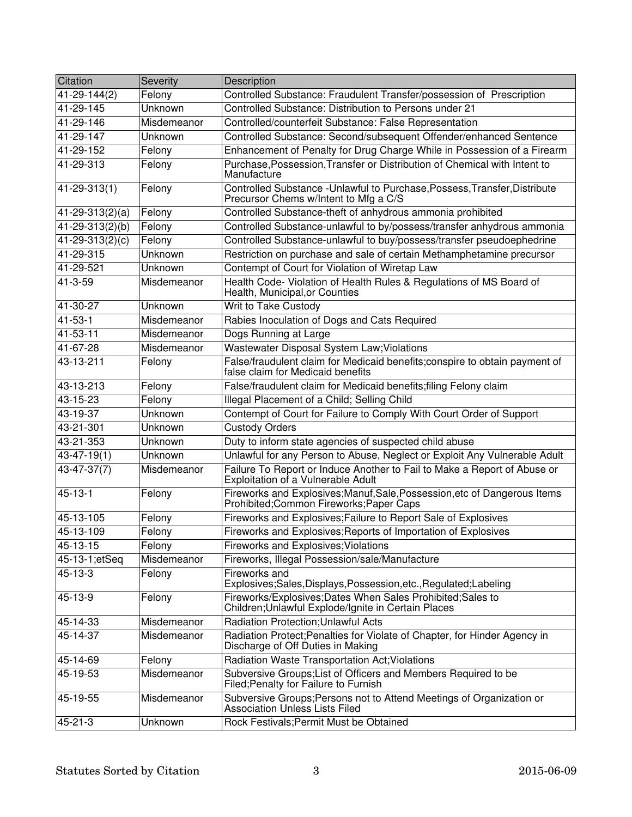| Citation                      | Severity    | Description                                                                                                           |
|-------------------------------|-------------|-----------------------------------------------------------------------------------------------------------------------|
| 41-29-144(2)                  | Felony      | Controlled Substance: Fraudulent Transfer/possession of Prescription                                                  |
| 41-29-145                     | Unknown     | Controlled Substance: Distribution to Persons under 21                                                                |
| 41-29-146                     | Misdemeanor | Controlled/counterfeit Substance: False Representation                                                                |
| 41-29-147                     | Unknown     | Controlled Substance: Second/subsequent Offender/enhanced Sentence                                                    |
| 41-29-152                     | Felony      | Enhancement of Penalty for Drug Charge While in Possession of a Firearm                                               |
| 41-29-313                     | Felony      | Purchase, Possession, Transfer or Distribution of Chemical with Intent to<br>Manufacture                              |
| $41 - 29 - 313(1)$            | Felony      | Controlled Substance - Unlawful to Purchase, Possess, Transfer, Distribute<br>Precursor Chems w/Intent to Mfg a C/S   |
| $\overline{41}$ -29-313(2)(a) | Felony      | Controlled Substance-theft of anhydrous ammonia prohibited                                                            |
| 41-29-313(2)(b)               | Felony      | Controlled Substance-unlawful to by/possess/transfer anhydrous ammonia                                                |
| 41-29-313(2)(c)               | Felony      | Controlled Substance-unlawful to buy/possess/transfer pseudoephedrine                                                 |
| 41-29-315                     | Unknown     | Restriction on purchase and sale of certain Methamphetamine precursor                                                 |
| 41-29-521                     | Unknown     | Contempt of Court for Violation of Wiretap Law                                                                        |
| 41-3-59                       | Misdemeanor | Health Code- Violation of Health Rules & Regulations of MS Board of<br>Health, Municipal, or Counties                 |
| 41-30-27                      | Unknown     | Writ to Take Custody                                                                                                  |
| 41-53-1                       | Misdemeanor | Rabies Inoculation of Dogs and Cats Required                                                                          |
| 41-53-11                      | Misdemeanor | Dogs Running at Large                                                                                                 |
| 41-67-28                      | Misdemeanor | Wastewater Disposal System Law; Violations                                                                            |
| 43-13-211                     | Felony      | False/fraudulent claim for Medicaid benefits; conspire to obtain payment of<br>false claim for Medicaid benefits      |
| 43-13-213                     | Felony      | False/fraudulent claim for Medicaid benefits; filing Felony claim                                                     |
| 43-15-23                      | Felony      | Illegal Placement of a Child; Selling Child                                                                           |
| 43-19-37                      | Unknown     | Contempt of Court for Failure to Comply With Court Order of Support                                                   |
| 43-21-301                     | Unknown     | <b>Custody Orders</b>                                                                                                 |
| 43-21-353                     | Unknown     | Duty to inform state agencies of suspected child abuse                                                                |
| $43 - 47 - 19(1)$             | Unknown     | Unlawful for any Person to Abuse, Neglect or Exploit Any Vulnerable Adult                                             |
| 43-47-37(7)                   | Misdemeanor | Failure To Report or Induce Another to Fail to Make a Report of Abuse or<br>Exploitation of a Vulnerable Adult        |
| $45 - 13 - 1$                 | Felony      | Fireworks and Explosives; Manuf, Sale, Possession, etc of Dangerous Items<br>Prohibited; Common Fireworks; Paper Caps |
| $45 - 13 - 105$               | Felony      | Fireworks and Explosives; Failure to Report Sale of Explosives                                                        |
| 45-13-109                     | Felony      | Fireworks and Explosives; Reports of Importation of Explosives                                                        |
| 45-13-15                      | Felony      | Fireworks and Explosives; Violations                                                                                  |
| 45-13-1;etSeq                 | Misdemeanor | Fireworks, Illegal Possession/sale/Manufacture                                                                        |
| 45-13-3                       | Felony      | <b>Fireworks and</b><br>Explosives;Sales,Displays,Possession,etc.,Regulated;Labeling                                  |
| 45-13-9                       | Felony      | Fireworks/Explosives;Dates When Sales Prohibited;Sales to<br>Children; Unlawful Explode/Ignite in Certain Places      |
| 45-14-33                      | Misdemeanor | <b>Radiation Protection; Unlawful Acts</b>                                                                            |
| 45-14-37                      | Misdemeanor | Radiation Protect; Penalties for Violate of Chapter, for Hinder Agency in<br>Discharge of Off Duties in Making        |
| 45-14-69                      | Felony      | Radiation Waste Transportation Act; Violations                                                                        |
| 45-19-53                      | Misdemeanor | Subversive Groups; List of Officers and Members Required to be<br>Filed; Penalty for Failure to Furnish               |
| 45-19-55                      | Misdemeanor | Subversive Groups; Persons not to Attend Meetings of Organization or<br><b>Association Unless Lists Filed</b>         |
| $45 - 21 - 3$                 | Unknown     | Rock Festivals; Permit Must be Obtained                                                                               |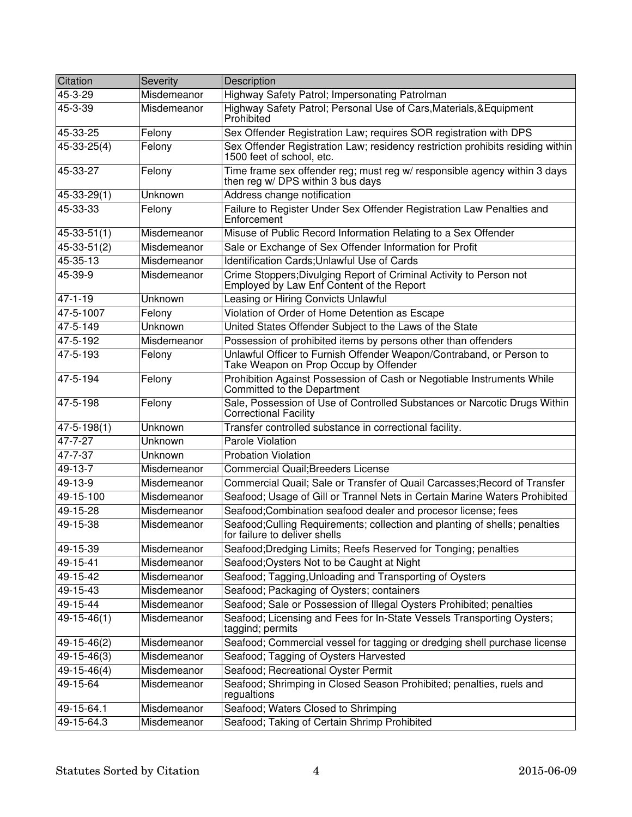| Citation          | Severity    | Description                                                                                                      |
|-------------------|-------------|------------------------------------------------------------------------------------------------------------------|
| 45-3-29           | Misdemeanor | Highway Safety Patrol; Impersonating Patrolman                                                                   |
| 45-3-39           | Misdemeanor | Highway Safety Patrol; Personal Use of Cars, Materials, & Equipment<br>Prohibited                                |
| 45-33-25          | Felony      | Sex Offender Registration Law; requires SOR registration with DPS                                                |
| $45 - 33 - 25(4)$ | Felony      | Sex Offender Registration Law; residency restriction prohibits residing within<br>1500 feet of school, etc.      |
| 45-33-27          | Felony      | Time frame sex offender reg; must reg w/ responsible agency within 3 days<br>then reg w/ DPS within 3 bus days   |
| 45-33-29(1)       | Unknown     | Address change notification                                                                                      |
| 45-33-33          | Felony      | Failure to Register Under Sex Offender Registration Law Penalties and<br>Enforcement                             |
| $45 - 33 - 51(1)$ | Misdemeanor | Misuse of Public Record Information Relating to a Sex Offender                                                   |
| $45 - 33 - 51(2)$ | Misdemeanor | Sale or Exchange of Sex Offender Information for Profit                                                          |
| 45-35-13          | Misdemeanor | Identification Cards; Unlawful Use of Cards                                                                      |
| 45-39-9           | Misdemeanor | Crime Stoppers; Divulging Report of Criminal Activity to Person not<br>Employed by Law Enf Content of the Report |
| $47 - 1 - 19$     | Unknown     | Leasing or Hiring Convicts Unlawful                                                                              |
| 47-5-1007         | Felony      | Violation of Order of Home Detention as Escape                                                                   |
| $47 - 5 - 149$    | Unknown     | United States Offender Subject to the Laws of the State                                                          |
| 47-5-192          | Misdemeanor | Possession of prohibited items by persons other than offenders                                                   |
| 47-5-193          | Felony      | Unlawful Officer to Furnish Offender Weapon/Contraband, or Person to<br>Take Weapon on Prop Occup by Offender    |
| 47-5-194          | Felony      | Prohibition Against Possession of Cash or Negotiable Instruments While<br>Committed to the Department            |
| 47-5-198          | Felony      | Sale, Possession of Use of Controlled Substances or Narcotic Drugs Within<br><b>Correctional Facility</b>        |
| $47 - 5 - 198(1)$ | Unknown     | Transfer controlled substance in correctional facility.                                                          |
| 47-7-27           | Unknown     | Parole Violation                                                                                                 |
| 47-7-37           | Unknown     | Probation Violation                                                                                              |
| 49-13-7           | Misdemeanor | <b>Commercial Quail; Breeders License</b>                                                                        |
| 49-13-9           | Misdemeanor | Commercial Quail; Sale or Transfer of Quail Carcasses; Record of Transfer                                        |
| 49-15-100         | Misdemeanor | Seafood; Usage of Gill or Trannel Nets in Certain Marine Waters Prohibited                                       |
| 49-15-28          | Misdemeanor | Seafood;Combination seafood dealer and procesor license; fees                                                    |
| 49-15-38          | Misdemeanor | Seafood; Culling Requirements; collection and planting of shells; penalties<br>for failure to deliver shells     |
| 49-15-39          | Misdemeanor | Seafood; Dredging Limits; Reefs Reserved for Tonging; penalties                                                  |
| 49-15-41          | Misdemeanor | Seafood; Oysters Not to be Caught at Night                                                                       |
| 49-15-42          | Misdemeanor | Seafood; Tagging, Unloading and Transporting of Oysters                                                          |
| 49-15-43          | Misdemeanor | Seafood; Packaging of Oysters; containers                                                                        |
| 49-15-44          | Misdemeanor | Seafood; Sale or Possession of Illegal Oysters Prohibited; penalties                                             |
| $49 - 15 - 46(1)$ | Misdemeanor | Seafood; Licensing and Fees for In-State Vessels Transporting Oysters;<br>taggind; permits                       |
| 49-15-46(2)       | Misdemeanor | Seafood; Commercial vessel for tagging or dredging shell purchase license                                        |
| $49 - 15 - 46(3)$ | Misdemeanor | Seafood; Tagging of Oysters Harvested                                                                            |
| $49-15-46(4)$     | Misdemeanor | Seafood; Recreational Oyster Permit                                                                              |
| 49-15-64          | Misdemeanor | Seafood; Shrimping in Closed Season Prohibited; penalties, ruels and<br>regualtions                              |
| 49-15-64.1        | Misdemeanor | Seafood; Waters Closed to Shrimping                                                                              |
| 49-15-64.3        | Misdemeanor | Seafood; Taking of Certain Shrimp Prohibited                                                                     |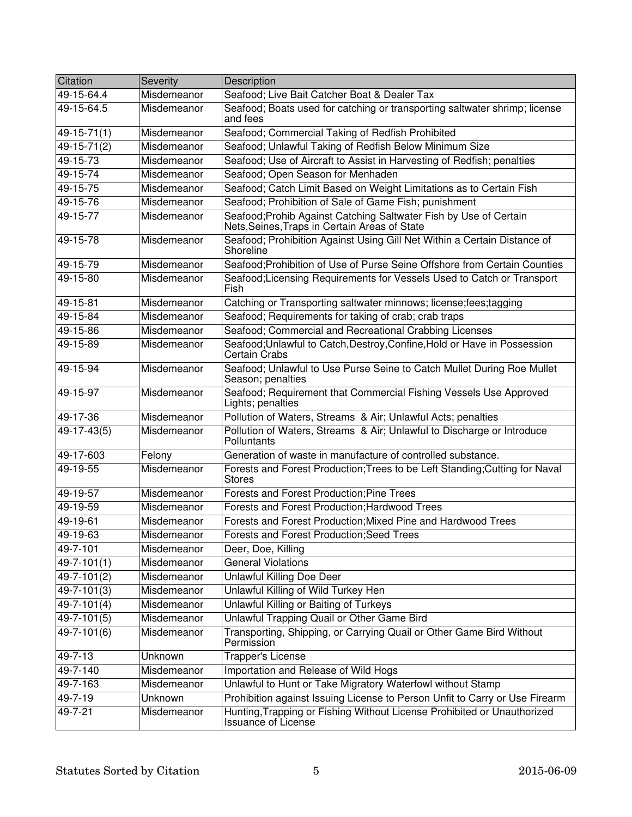| Citation          | Severity    | Description                                                                                                        |
|-------------------|-------------|--------------------------------------------------------------------------------------------------------------------|
| 49-15-64.4        | Misdemeanor | Seafood; Live Bait Catcher Boat & Dealer Tax                                                                       |
| 49-15-64.5        | Misdemeanor | Seafood; Boats used for catching or transporting saltwater shrimp; license<br>and fees                             |
| $49 - 15 - 71(1)$ | Misdemeanor | Seafood; Commercial Taking of Redfish Prohibited                                                                   |
| 49-15-71(2)       | Misdemeanor | Seafood; Unlawful Taking of Redfish Below Minimum Size                                                             |
| 49-15-73          | Misdemeanor | Seafood; Use of Aircraft to Assist in Harvesting of Redfish; penalties                                             |
| 49-15-74          | Misdemeanor | Seafood; Open Season for Menhaden                                                                                  |
| 49-15-75          | Misdemeanor | Seafood; Catch Limit Based on Weight Limitations as to Certain Fish                                                |
| 49-15-76          | Misdemeanor | Seafood; Prohibition of Sale of Game Fish; punishment                                                              |
| 49-15-77          | Misdemeanor | Seafood; Prohib Against Catching Saltwater Fish by Use of Certain<br>Nets, Seines, Traps in Certain Areas of State |
| 49-15-78          | Misdemeanor | Seafood; Prohibition Against Using Gill Net Within a Certain Distance of<br>Shoreline                              |
| 49-15-79          | Misdemeanor | Seafood: Prohibition of Use of Purse Seine Offshore from Certain Counties                                          |
| 49-15-80          | Misdemeanor | Seafood; Licensing Requirements for Vessels Used to Catch or Transport<br>Fish                                     |
| 49-15-81          | Misdemeanor | Catching or Transporting saltwater minnows; license; fees; tagging                                                 |
| 49-15-84          | Misdemeanor | Seafood; Requirements for taking of crab; crab traps                                                               |
| 49-15-86          | Misdemeanor | Seafood; Commercial and Recreational Crabbing Licenses                                                             |
| 49-15-89          | Misdemeanor | Seafood; Unlawful to Catch, Destroy, Confine, Hold or Have in Possession<br><b>Certain Crabs</b>                   |
| 49-15-94          | Misdemeanor | Seafood; Unlawful to Use Purse Seine to Catch Mullet During Roe Mullet<br>Season; penalties                        |
| 49-15-97          | Misdemeanor | Seafood; Requirement that Commercial Fishing Vessels Use Approved<br>Lights; penalties                             |
| 49-17-36          | Misdemeanor | Pollution of Waters, Streams & Air; Unlawful Acts; penalties                                                       |
| $49-17-43(5)$     | Misdemeanor | Pollution of Waters, Streams & Air; Unlawful to Discharge or Introduce<br>Polluntants                              |
| 49-17-603         | Felony      | Generation of waste in manufacture of controlled substance.                                                        |
| 49-19-55          | Misdemeanor | Forests and Forest Production; Trees to be Left Standing; Cutting for Naval<br><b>Stores</b>                       |
| 49-19-57          | Misdemeanor | <b>Forests and Forest Production; Pine Trees</b>                                                                   |
| 49-19-59          | Misdemeanor | Forests and Forest Production; Hardwood Trees                                                                      |
| 49-19-61          | Misdemeanor | Forests and Forest Production; Mixed Pine and Hardwood Trees                                                       |
| 49-19-63          | Misdemeanor | Forests and Forest Production; Seed Trees                                                                          |
| 49-7-101          | Misdemeanor | Deer, Doe, Killing                                                                                                 |
| 49-7-101(1)       | Misdemeanor | <b>General Violations</b>                                                                                          |
| 49-7-101(2)       | Misdemeanor | Unlawful Killing Doe Deer                                                                                          |
| 49-7-101(3)       | Misdemeanor | Unlawful Killing of Wild Turkey Hen                                                                                |
| 49-7-101(4)       | Misdemeanor | Unlawful Killing or Baiting of Turkeys                                                                             |
| 49-7-101(5)       | Misdemeanor | Unlawful Trapping Quail or Other Game Bird                                                                         |
| 49-7-101(6)       | Misdemeanor | Transporting, Shipping, or Carrying Quail or Other Game Bird Without<br>Permission                                 |
| 49-7-13           | Unknown     | Trapper's License                                                                                                  |
| 49-7-140          | Misdemeanor | Importation and Release of Wild Hogs                                                                               |
| 49-7-163          | Misdemeanor | Unlawful to Hunt or Take Migratory Waterfowl without Stamp                                                         |
| 49-7-19           | Unknown     | Prohibition against Issuing License to Person Unfit to Carry or Use Firearm                                        |
| 49-7-21           | Misdemeanor | Hunting, Trapping or Fishing Without License Prohibited or Unauthorized<br><b>Issuance of License</b>              |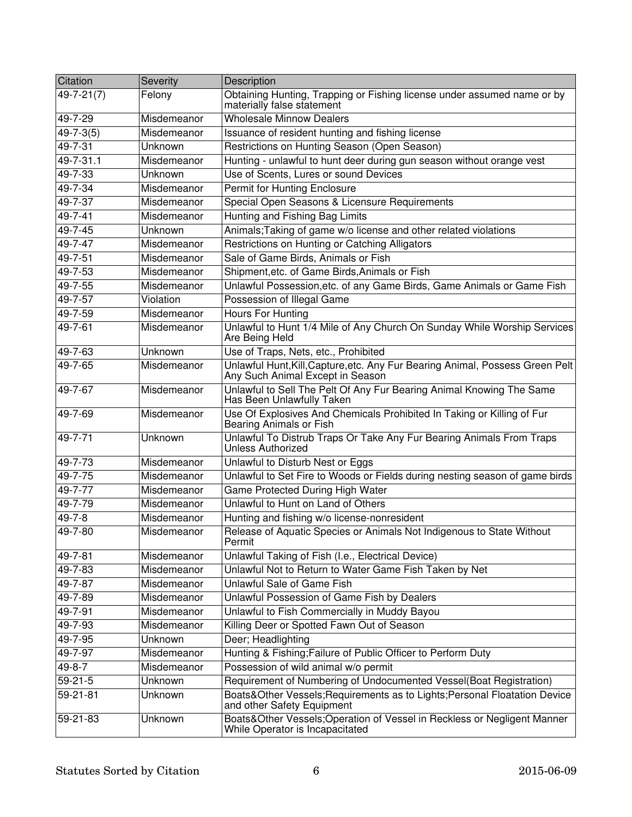| Citation         | Severity    | Description                                                                                                       |
|------------------|-------------|-------------------------------------------------------------------------------------------------------------------|
| $49 - 7 - 21(7)$ | Felony      | Obtaining Hunting, Trapping or Fishing license under assumed name or by<br>materially false statement             |
| 49-7-29          | Misdemeanor | <b>Wholesale Minnow Dealers</b>                                                                                   |
| $49 - 7 - 3(5)$  | Misdemeanor | Issuance of resident hunting and fishing license                                                                  |
| 49-7-31          | Unknown     | Restrictions on Hunting Season (Open Season)                                                                      |
| $49 - 7 - 31.1$  | Misdemeanor | Hunting - unlawful to hunt deer during gun season without orange vest                                             |
| 49-7-33          | Unknown     | Use of Scents, Lures or sound Devices                                                                             |
| 49-7-34          | Misdemeanor | Permit for Hunting Enclosure                                                                                      |
| $49 - 7 - 37$    | Misdemeanor | Special Open Seasons & Licensure Requirements                                                                     |
| $49 - 7 - 41$    | Misdemeanor | Hunting and Fishing Bag Limits                                                                                    |
| 49-7-45          | Unknown     | Animals; Taking of game w/o license and other related violations                                                  |
| 49-7-47          | Misdemeanor | Restrictions on Hunting or Catching Alligators                                                                    |
| 49-7-51          | Misdemeanor | Sale of Game Birds, Animals or Fish                                                                               |
| 49-7-53          | Misdemeanor | Shipment, etc. of Game Birds, Animals or Fish                                                                     |
| 49-7-55          | Misdemeanor | Unlawful Possession, etc. of any Game Birds, Game Animals or Game Fish                                            |
| 49-7-57          | Violation   | Possession of Illegal Game                                                                                        |
| 49-7-59          | Misdemeanor | <b>Hours For Hunting</b>                                                                                          |
| 49-7-61          | Misdemeanor | Unlawful to Hunt 1/4 Mile of Any Church On Sunday While Worship Services<br>Are Being Held                        |
| 49-7-63          | Unknown     | Use of Traps, Nets, etc., Prohibited                                                                              |
| 49-7-65          | Misdemeanor | Unlawful Hunt, Kill, Capture, etc. Any Fur Bearing Animal, Possess Green Pelt<br>Any Such Animal Except in Season |
| 49-7-67          | Misdemeanor | Unlawful to Sell The Pelt Of Any Fur Bearing Animal Knowing The Same<br>Has Been Unlawfully Taken                 |
| 49-7-69          | Misdemeanor | Use Of Explosives And Chemicals Prohibited In Taking or Killing of Fur<br>Bearing Animals or Fish                 |
| 49-7-71          | Unknown     | Unlawful To Distrub Traps Or Take Any Fur Bearing Animals From Traps<br><b>Unless Authorized</b>                  |
| 49-7-73          | Misdemeanor | Unlawful to Disturb Nest or Eggs                                                                                  |
| $49 - 7 - 75$    | Misdemeanor | Unlawful to Set Fire to Woods or Fields during nesting season of game birds                                       |
| 49-7-77          | Misdemeanor | Game Protected During High Water                                                                                  |
| 49-7-79          | Misdemeanor | Unlawful to Hunt on Land of Others                                                                                |
| 49-7-8           | Misdemeanor | Hunting and fishing w/o license-nonresident                                                                       |
| 49-7-80          | Misdemeanor | Release of Aquatic Species or Animals Not Indigenous to State Without<br>Permit                                   |
| 49-7-81          | Misdemeanor | Unlawful Taking of Fish (I.e., Electrical Device)                                                                 |
| 49-7-83          | Misdemeanor | Unlawful Not to Return to Water Game Fish Taken by Net                                                            |
| 49-7-87          | Misdemeanor | Unlawful Sale of Game Fish                                                                                        |
| 49-7-89          | Misdemeanor | Unlawful Possession of Game Fish by Dealers                                                                       |
| $49 - 7 - 91$    | Misdemeanor | Unlawful to Fish Commercially in Muddy Bayou                                                                      |
| 49-7-93          | Misdemeanor | Killing Deer or Spotted Fawn Out of Season                                                                        |
| $49 - 7 - 95$    | Unknown     | Deer; Headlighting                                                                                                |
| 49-7-97          | Misdemeanor | Hunting & Fishing; Failure of Public Officer to Perform Duty                                                      |
| 49-8-7           | Misdemeanor | Possession of wild animal w/o permit                                                                              |
| $59 - 21 - 5$    | Unknown     | Requirement of Numbering of Undocumented Vessel(Boat Registration)                                                |
| 59-21-81         | Unknown     | Boats&Other Vessels; Requirements as to Lights; Personal Floatation Device<br>and other Safety Equipment          |
| 59-21-83         | Unknown     | Boats&Other Vessels;Operation of Vessel in Reckless or Negligent Manner<br>While Operator is Incapacitated        |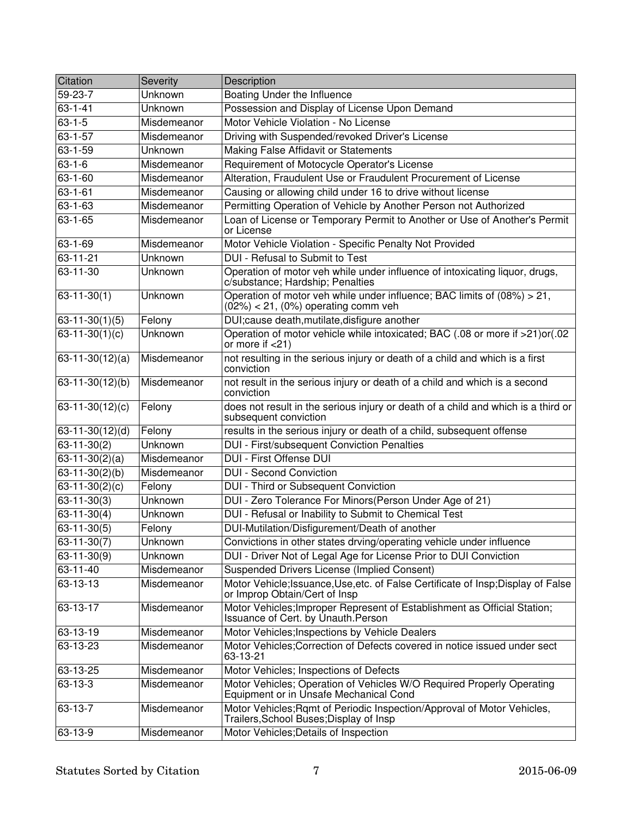| Citation              | Severity    | Description                                                                                                         |
|-----------------------|-------------|---------------------------------------------------------------------------------------------------------------------|
| 59-23-7               | Unknown     | Boating Under the Influence                                                                                         |
| $63 - 1 - 41$         | Unknown     | Possession and Display of License Upon Demand                                                                       |
| $63 - 1 - 5$          | Misdemeanor | Motor Vehicle Violation - No License                                                                                |
| $63 - 1 - 57$         | Misdemeanor | Driving with Suspended/revoked Driver's License                                                                     |
| $63 - 1 - 59$         | Unknown     | Making False Affidavit or Statements                                                                                |
| $63 - 1 - 6$          | Misdemeanor | Requirement of Motocycle Operator's License                                                                         |
| 63-1-60               | Misdemeanor | Alteration, Fraudulent Use or Fraudulent Procurement of License                                                     |
| $63 - 1 - 61$         | Misdemeanor | Causing or allowing child under 16 to drive without license                                                         |
| $63 - 1 - 63$         | Misdemeanor | Permitting Operation of Vehicle by Another Person not Authorized                                                    |
| $63 - 1 - 65$         | Misdemeanor | Loan of License or Temporary Permit to Another or Use of Another's Permit<br>or License                             |
| 63-1-69               | Misdemeanor | Motor Vehicle Violation - Specific Penalty Not Provided                                                             |
| 63-11-21              | Unknown     | DUI - Refusal to Submit to Test                                                                                     |
| 63-11-30              | Unknown     | Operation of motor veh while under influence of intoxicating liquor, drugs,<br>c/substance; Hardship; Penalties     |
| $63 - 11 - 30(1)$     | Unknown     | Operation of motor veh while under influence; BAC limits of (08%) > 21,<br>$(02%) < 21$ , $(0%)$ operating comm veh |
| $63 - 11 - 30(1)(5)$  | Felony      | DUI; cause death, mutilate, disfigure another                                                                       |
| $63-11-30(1)(c)$      | Unknown     | Operation of motor vehicle while intoxicated; BAC (.08 or more if >21)or(.02<br>or more if $<$ 21)                  |
| $63-11-30(12)(a)$     | Misdemeanor | not resulting in the serious injury or death of a child and which is a first<br>conviction                          |
| $63 - 11 - 30(12)(b)$ | Misdemeanor | not result in the serious injury or death of a child and which is a second<br>conviction                            |
| $63-11-30(12)(c)$     | Felony      | does not result in the serious injury or death of a child and which is a third or<br>subsequent conviction          |
| $63 - 11 - 30(12)(d)$ | Felony      | results in the serious injury or death of a child, subsequent offense                                               |
| $63 - 11 - 30(2)$     | Unknown     | DUI - First/subsequent Conviction Penalties                                                                         |
| $63-11-30(2)(a)$      | Misdemeanor | DUI - First Offense DUI                                                                                             |
| $63-11-30(2)(b)$      | Misdemeanor | <b>DUI - Second Conviction</b>                                                                                      |
| $63-11-30(2)(c)$      | Felony      | DUI - Third or Subsequent Conviction                                                                                |
| $63 - 11 - 30(3)$     | Unknown     | DUI - Zero Tolerance For Minors(Person Under Age of 21)                                                             |
| $63-11-30(4)$         | Unknown     | DUI - Refusal or Inability to Submit to Chemical Test                                                               |
| $63 - 11 - 30(5)$     | Felony      | DUI-Mutilation/Disfigurement/Death of another                                                                       |
| $63 - 11 - 30(7)$     | Unknown     | Convictions in other states drving/operating vehicle under influence                                                |
| $63 - 11 - 30(9)$     | Unknown     | DUI - Driver Not of Legal Age for License Prior to DUI Conviction                                                   |
| 63-11-40              | Misdemeanor | <b>Suspended Drivers License (Implied Consent)</b>                                                                  |
| $63 - 13 - 13$        | Misdemeanor | Motor Vehicle; Issuance, Use, etc. of False Certificate of Insp; Display of False<br>or Improp Obtain/Cert of Insp  |
| 63-13-17              | Misdemeanor | Motor Vehicles; Improper Represent of Establishment as Official Station;<br>Issuance of Cert. by Unauth Person      |
| 63-13-19              | Misdemeanor | Motor Vehicles; Inspections by Vehicle Dealers                                                                      |
| 63-13-23              | Misdemeanor | Motor Vehicles; Correction of Defects covered in notice issued under sect<br>63-13-21                               |
| 63-13-25              | Misdemeanor | Motor Vehicles; Inspections of Defects                                                                              |
| 63-13-3               | Misdemeanor | Motor Vehicles; Operation of Vehicles W/O Required Properly Operating<br>Equipment or in Unsafe Mechanical Cond     |
| 63-13-7               | Misdemeanor | Motor Vehicles; Rqmt of Periodic Inspection/Approval of Motor Vehicles,<br>Trailers, School Buses; Display of Insp  |
| 63-13-9               | Misdemeanor | Motor Vehicles; Details of Inspection                                                                               |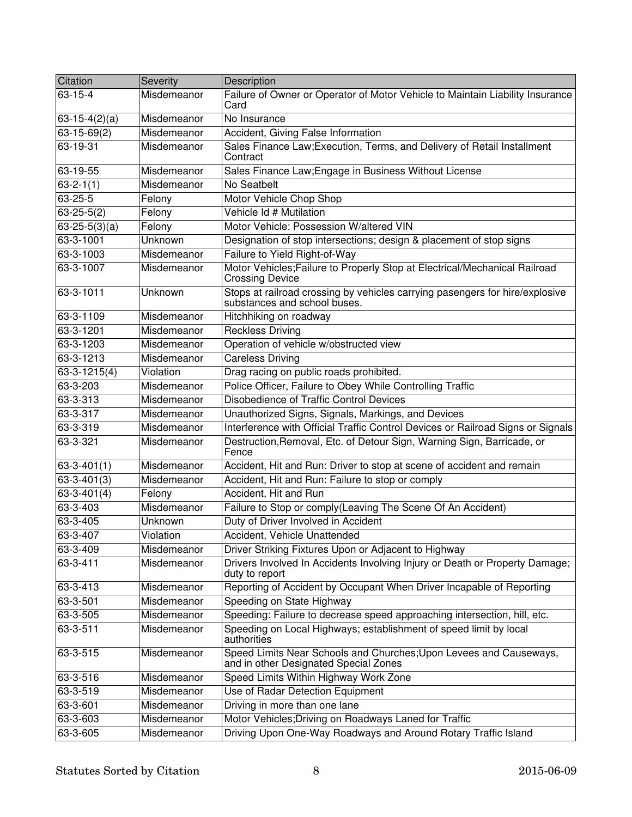| Citation            | Severity    | Description                                                                                                  |
|---------------------|-------------|--------------------------------------------------------------------------------------------------------------|
| $63 - 15 - 4$       | Misdemeanor | Failure of Owner or Operator of Motor Vehicle to Maintain Liability Insurance<br>Card                        |
| $63-15-4(2)(a)$     | Misdemeanor | No Insurance                                                                                                 |
| $63 - 15 - 69(2)$   | Misdemeanor | Accident, Giving False Information                                                                           |
| $63 - 19 - 31$      | Misdemeanor | Sales Finance Law; Execution, Terms, and Delivery of Retail Installment<br>Contract                          |
| 63-19-55            | Misdemeanor | Sales Finance Law; Engage in Business Without License                                                        |
| $63 - 2 - 1(1)$     | Misdemeanor | No Seatbelt                                                                                                  |
| 63-25-5             | Felony      | Motor Vehicle Chop Shop                                                                                      |
| $63 - 25 - 5(2)$    | Felony      | Vehicle Id # Mutilation                                                                                      |
| $63 - 25 - 5(3)(a)$ | Felony      | Motor Vehicle: Possession W/altered VIN                                                                      |
| 63-3-1001           | Unknown     | Designation of stop intersections; design & placement of stop signs                                          |
| 63-3-1003           | Misdemeanor | Failure to Yield Right-of-Way                                                                                |
| 63-3-1007           | Misdemeanor | Motor Vehicles; Failure to Properly Stop at Electrical/Mechanical Railroad<br><b>Crossing Device</b>         |
| 63-3-1011           | Unknown     | Stops at railroad crossing by vehicles carrying pasengers for hire/explosive<br>substances and school buses. |
| 63-3-1109           | Misdemeanor | Hitchhiking on roadway                                                                                       |
| 63-3-1201           | Misdemeanor | <b>Reckless Driving</b>                                                                                      |
| 63-3-1203           | Misdemeanor | Operation of vehicle w/obstructed view                                                                       |
| 63-3-1213           | Misdemeanor | <b>Careless Driving</b>                                                                                      |
| 63-3-1215(4)        | Violation   | Drag racing on public roads prohibited.                                                                      |
| 63-3-203            | Misdemeanor | Police Officer, Failure to Obey While Controlling Traffic                                                    |
| 63-3-313            | Misdemeanor | <b>Disobedience of Traffic Control Devices</b>                                                               |
| 63-3-317            | Misdemeanor | Unauthorized Signs, Signals, Markings, and Devices                                                           |
| 63-3-319            | Misdemeanor | Interference with Official Traffic Control Devices or Railroad Signs or Signals                              |
| 63-3-321            | Misdemeanor | Destruction, Removal, Etc. of Detour Sign, Warning Sign, Barricade, or<br>Fence                              |
| $63 - 3 - 401(1)$   | Misdemeanor | Accident, Hit and Run: Driver to stop at scene of accident and remain                                        |
| $63 - 3 - 401(3)$   | Misdemeanor | Accident, Hit and Run: Failure to stop or comply                                                             |
| $63 - 3 - 401(4)$   | Felony      | Accident, Hit and Run                                                                                        |
| 63-3-403            | Misdemeanor | Failure to Stop or comply(Leaving The Scene Of An Accident)                                                  |
| 63-3-405            | Unknown     | Duty of Driver Involved in Accident                                                                          |
| 63-3-407            | Violation   | Accident, Vehicle Unattended                                                                                 |
| 63-3-409            | Misdemeanor | Driver Striking Fixtures Upon or Adjacent to Highway                                                         |
| 63-3-411            | Misdemeanor | Drivers Involved In Accidents Involving Injury or Death or Property Damage;<br>duty to report                |
| $63 - 3 - 413$      | Misdemeanor | Reporting of Accident by Occupant When Driver Incapable of Reporting                                         |
| 63-3-501            | Misdemeanor | Speeding on State Highway                                                                                    |
| 63-3-505            | Misdemeanor | Speeding: Failure to decrease speed approaching intersection, hill, etc.                                     |
| 63-3-511            | Misdemeanor | Speeding on Local Highways; establishment of speed limit by local<br>authorities                             |
| 63-3-515            | Misdemeanor | Speed Limits Near Schools and Churches; Upon Levees and Causeways,<br>and in other Designated Special Zones  |
| 63-3-516            | Misdemeanor | Speed Limits Within Highway Work Zone                                                                        |
| 63-3-519            | Misdemeanor | Use of Radar Detection Equipment                                                                             |
| 63-3-601            | Misdemeanor | Driving in more than one lane                                                                                |
| 63-3-603            | Misdemeanor | Motor Vehicles; Driving on Roadways Laned for Traffic                                                        |
| 63-3-605            | Misdemeanor | Driving Upon One-Way Roadways and Around Rotary Traffic Island                                               |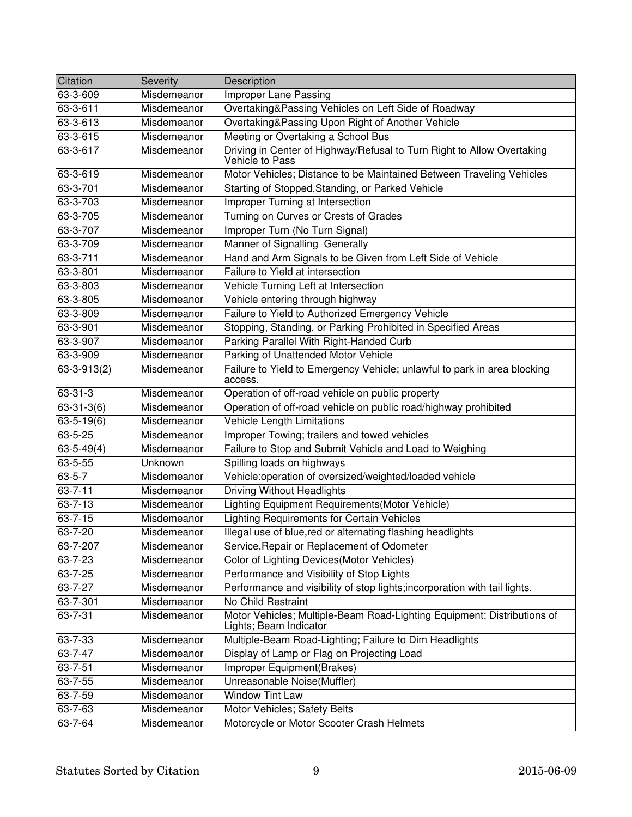| Citation          | Severity    | Description                                                                                       |
|-------------------|-------------|---------------------------------------------------------------------------------------------------|
| 63-3-609          | Misdemeanor | <b>Improper Lane Passing</b>                                                                      |
| 63-3-611          | Misdemeanor | Overtaking&Passing Vehicles on Left Side of Roadway                                               |
| 63-3-613          | Misdemeanor | Overtaking&Passing Upon Right of Another Vehicle                                                  |
| 63-3-615          | Misdemeanor | Meeting or Overtaking a School Bus                                                                |
| 63-3-617          | Misdemeanor | Driving in Center of Highway/Refusal to Turn Right to Allow Overtaking<br>Vehicle to Pass         |
| 63-3-619          | Misdemeanor | Motor Vehicles; Distance to be Maintained Between Traveling Vehicles                              |
| 63-3-701          | Misdemeanor | Starting of Stopped, Standing, or Parked Vehicle                                                  |
| 63-3-703          | Misdemeanor | Improper Turning at Intersection                                                                  |
| 63-3-705          | Misdemeanor | Turning on Curves or Crests of Grades                                                             |
| 63-3-707          | Misdemeanor | Improper Turn (No Turn Signal)                                                                    |
| 63-3-709          | Misdemeanor | Manner of Signalling Generally                                                                    |
| 63-3-711          | Misdemeanor | Hand and Arm Signals to be Given from Left Side of Vehicle                                        |
| 63-3-801          | Misdemeanor | Failure to Yield at intersection                                                                  |
| 63-3-803          | Misdemeanor | Vehicle Turning Left at Intersection                                                              |
| 63-3-805          | Misdemeanor | Vehicle entering through highway                                                                  |
| 63-3-809          | Misdemeanor | Failure to Yield to Authorized Emergency Vehicle                                                  |
| 63-3-901          | Misdemeanor | Stopping, Standing, or Parking Prohibited in Specified Areas                                      |
| 63-3-907          | Misdemeanor | Parking Parallel With Right-Handed Curb                                                           |
| 63-3-909          | Misdemeanor | Parking of Unattended Motor Vehicle                                                               |
| $63 - 3 - 913(2)$ | Misdemeanor | Failure to Yield to Emergency Vehicle; unlawful to park in area blocking<br>access.               |
| 63-31-3           | Misdemeanor | Operation of off-road vehicle on public property                                                  |
| $63 - 31 - 3(6)$  | Misdemeanor | Operation of off-road vehicle on public road/highway prohibited                                   |
| $63 - 5 - 19(6)$  | Misdemeanor | <b>Vehicle Length Limitations</b>                                                                 |
| 63-5-25           | Misdemeanor | Improper Towing; trailers and towed vehicles                                                      |
| $63 - 5 - 49(4)$  | Misdemeanor | Failure to Stop and Submit Vehicle and Load to Weighing                                           |
| 63-5-55           | Unknown     | Spilling loads on highways                                                                        |
| $63 - 5 - 7$      | Misdemeanor | Vehicle:operation of oversized/weighted/loaded vehicle                                            |
| $63 - 7 - 11$     | Misdemeanor | <b>Driving Without Headlights</b>                                                                 |
| $63 - 7 - 13$     | Misdemeanor | Lighting Equipment Requirements(Motor Vehicle)                                                    |
| $63 - 7 - 15$     | Misdemeanor | <b>Lighting Requirements for Certain Vehicles</b>                                                 |
| 63-7-20           | Misdemeanor | Illegal use of blue, red or alternating flashing headlights                                       |
| 63-7-207          | Misdemeanor | Service, Repair or Replacement of Odometer                                                        |
| 63-7-23           | Misdemeanor | Color of Lighting Devices(Motor Vehicles)                                                         |
| 63-7-25           | Misdemeanor | Performance and Visibility of Stop Lights                                                         |
| 63-7-27           | Misdemeanor | Performance and visibility of stop lights; incorporation with tail lights.                        |
| 63-7-301          | Misdemeanor | No Child Restraint                                                                                |
| 63-7-31           | Misdemeanor | Motor Vehicles; Multiple-Beam Road-Lighting Equipment; Distributions of<br>Lights; Beam Indicator |
| 63-7-33           | Misdemeanor | Multiple-Beam Road-Lighting; Failure to Dim Headlights                                            |
| $63 - 7 - 47$     | Misdemeanor | Display of Lamp or Flag on Projecting Load                                                        |
| 63-7-51           | Misdemeanor | Improper Equipment(Brakes)                                                                        |
| 63-7-55           | Misdemeanor | Unreasonable Noise(Muffler)                                                                       |
| 63-7-59           | Misdemeanor | <b>Window Tint Law</b>                                                                            |
| 63-7-63           | Misdemeanor | Motor Vehicles; Safety Belts                                                                      |
| 63-7-64           | Misdemeanor | Motorcycle or Motor Scooter Crash Helmets                                                         |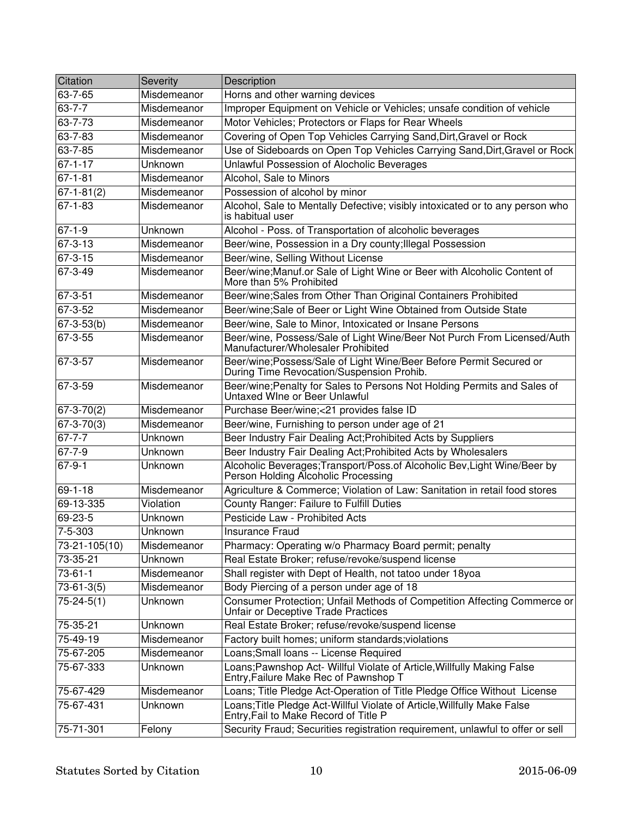| Citation                 | Severity    | Description                                                                                                       |
|--------------------------|-------------|-------------------------------------------------------------------------------------------------------------------|
| 63-7-65                  | Misdemeanor | Horns and other warning devices                                                                                   |
| $63 - 7 - 7$             | Misdemeanor | Improper Equipment on Vehicle or Vehicles; unsafe condition of vehicle                                            |
| 63-7-73                  | Misdemeanor | Motor Vehicles; Protectors or Flaps for Rear Wheels                                                               |
| 63-7-83                  | Misdemeanor | Covering of Open Top Vehicles Carrying Sand, Dirt, Gravel or Rock                                                 |
| $63 - 7 - 85$            | Misdemeanor | Use of Sideboards on Open Top Vehicles Carrying Sand, Dirt, Gravel or Rock                                        |
| $67 - 1 - 17$            | Unknown     | Unlawful Possession of Alocholic Beverages                                                                        |
| $67 - 1 - 81$            | Misdemeanor | Alcohol, Sale to Minors                                                                                           |
| $67 - 1 - 81(2)$         | Misdemeanor | Possession of alcohol by minor                                                                                    |
| $67 - 1 - 83$            | Misdemeanor | Alcohol, Sale to Mentally Defective; visibly intoxicated or to any person who<br>is habitual user                 |
| $67 - 1 - 9$             | Unknown     | Alcohol - Poss. of Transportation of alcoholic beverages                                                          |
| $67 - 3 - 13$            | Misdemeanor | Beer/wine, Possession in a Dry county; Illegal Possession                                                         |
| $67 - 3 - 15$            | Misdemeanor | Beer/wine, Selling Without License                                                                                |
| 67-3-49                  | Misdemeanor | Beer/wine;Manuf.or Sale of Light Wine or Beer with Alcoholic Content of<br>More than 5% Prohibited                |
| $67 - 3 - 51$            | Misdemeanor | Beer/wine;Sales from Other Than Original Containers Prohibited                                                    |
| 67-3-52                  | Misdemeanor | Beer/wine;Sale of Beer or Light Wine Obtained from Outside State                                                  |
| $67 - 3 - 53(b)$         | Misdemeanor | Beer/wine, Sale to Minor, Intoxicated or Insane Persons                                                           |
| $67 - 3 - 55$            | Misdemeanor | Beer/wine, Possess/Sale of Light Wine/Beer Not Purch From Licensed/Auth<br>Manufacturer/Wholesaler Prohibited     |
| 67-3-57                  | Misdemeanor | Beer/wine;Possess/Sale of Light Wine/Beer Before Permit Secured or<br>During Time Revocation/Suspension Prohib.   |
| 67-3-59                  | Misdemeanor | Beer/wine; Penalty for Sales to Persons Not Holding Permits and Sales of<br>Untaxed Wine or Beer Unlawful         |
| $\overline{67}$ -3-70(2) | Misdemeanor | Purchase Beer/wine;<21 provides false ID                                                                          |
| $67 - 3 - 70(3)$         | Misdemeanor | Beer/wine, Furnishing to person under age of 21                                                                   |
| $67 - 7 - 7$             | Unknown     | Beer Industry Fair Dealing Act; Prohibited Acts by Suppliers                                                      |
| $67 - 7 - 9$             | Unknown     | Beer Industry Fair Dealing Act; Prohibited Acts by Wholesalers                                                    |
| $67 - 9 - 1$             | Unknown     | Alcoholic Beverages; Transport/Poss.of Alcoholic Bev, Light Wine/Beer by<br>Person Holding Alcoholic Processing   |
| $69 - 1 - 18$            | Misdemeanor | Agriculture & Commerce; Violation of Law: Sanitation in retail food stores                                        |
| 69-13-335                | Violation   | <b>County Ranger: Failure to Fulfill Duties</b>                                                                   |
| 69-23-5                  | Unknown     | Pesticide Law - Prohibited Acts                                                                                   |
| 7-5-303                  | Unknown     | <b>Insurance Fraud</b>                                                                                            |
| 73-21-105(10)            | Misdemeanor | Pharmacy: Operating w/o Pharmacy Board permit; penalty                                                            |
| 73-35-21                 | Unknown     | Real Estate Broker; refuse/revoke/suspend license                                                                 |
| $73 - 61 - 1$            | Misdemeanor | Shall register with Dept of Health, not tatoo under 18yoa                                                         |
| $73-61-3(5)$             | Misdemeanor | Body Piercing of a person under age of 18                                                                         |
| $75 - 24 - 5(1)$         | Unknown     | Consumer Protection; Unfail Methods of Competition Affecting Commerce or<br>Unfair or Deceptive Trade Practices   |
| 75-35-21                 | Unknown     | Real Estate Broker; refuse/revoke/suspend license                                                                 |
| 75-49-19                 | Misdemeanor | Factory built homes; uniform standards; violations                                                                |
| 75-67-205                | Misdemeanor | Loans; Small loans -- License Required                                                                            |
| 75-67-333                | Unknown     | Loans; Pawnshop Act- Willful Violate of Article, Willfully Making False<br>Entry, Failure Make Rec of Pawnshop T  |
| 75-67-429                | Misdemeanor | Loans; Title Pledge Act-Operation of Title Pledge Office Without License                                          |
| 75-67-431                | Unknown     | Loans; Title Pledge Act-Willful Violate of Article, Willfully Make False<br>Entry, Fail to Make Record of Title P |
| 75-71-301                | Felony      | Security Fraud; Securities registration requirement, unlawful to offer or sell                                    |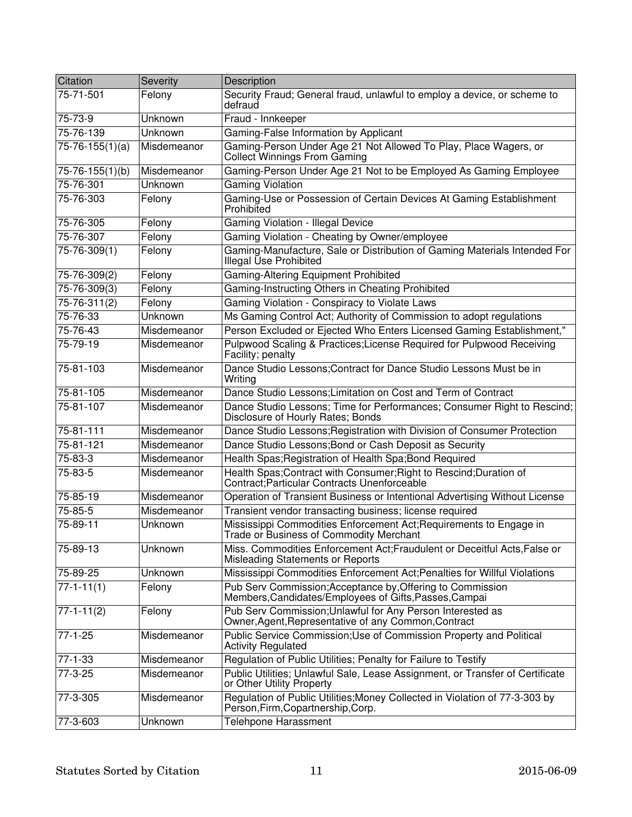| Citation              | Severity    | Description                                                                                                          |
|-----------------------|-------------|----------------------------------------------------------------------------------------------------------------------|
| 75-71-501             | Felony      | Security Fraud; General fraud, unlawful to employ a device, or scheme to<br>defraud                                  |
| 75-73-9               | Unknown     | Fraud - Innkeeper                                                                                                    |
| 75-76-139             | Unknown     | Gaming-False Information by Applicant                                                                                |
| $75 - 76 - 155(1)(a)$ | Misdemeanor | Gaming-Person Under Age 21 Not Allowed To Play, Place Wagers, or<br>Collect Winnings From Gaming                     |
| 75-76-155(1)(b)       | Misdemeanor | Gaming-Person Under Age 21 Not to be Employed As Gaming Employee                                                     |
| 75-76-301             | Unknown     | <b>Gaming Violation</b>                                                                                              |
| 75-76-303             | Felony      | Gaming-Use or Possession of Certain Devices At Gaming Establishment<br>Prohibited                                    |
| 75-76-305             | Felony      | Gaming Violation - Illegal Device                                                                                    |
| 75-76-307             | Felony      | Gaming Violation - Cheating by Owner/employee                                                                        |
| $75 - 76 - 309(1)$    | Felony      | Gaming-Manufacture, Sale or Distribution of Gaming Materials Intended For<br>Illegal Use Prohibited                  |
| 75-76-309(2)          | Felony      | Gaming-Altering Equipment Prohibited                                                                                 |
| 75-76-309(3)          | Felony      | Gaming-Instructing Others in Cheating Prohibited                                                                     |
| 75-76-311(2)          | Felony      | Gaming Violation - Conspiracy to Violate Laws                                                                        |
| 75-76-33              | Unknown     | Ms Gaming Control Act; Authority of Commission to adopt regulations                                                  |
| 75-76-43              | Misdemeanor | Person Excluded or Ejected Who Enters Licensed Gaming Establishment,"                                                |
| 75-79-19              | Misdemeanor | Pulpwood Scaling & Practices; License Required for Pulpwood Receiving<br>Facility; penalty                           |
| 75-81-103             | Misdemeanor | Dance Studio Lessons; Contract for Dance Studio Lessons Must be in<br>Writing                                        |
| 75-81-105             | Misdemeanor | Dance Studio Lessons; Limitation on Cost and Term of Contract                                                        |
| 75-81-107             | Misdemeanor | Dance Studio Lessons; Time for Performances; Consumer Right to Rescind;<br>Disclosure of Hourly Rates; Bonds         |
| 75-81-111             | Misdemeanor | Dance Studio Lessons; Registration with Division of Consumer Protection                                              |
| 75-81-121             | Misdemeanor | Dance Studio Lessons; Bond or Cash Deposit as Security                                                               |
| 75-83-3               | Misdemeanor | Health Spas; Registration of Health Spa; Bond Required                                                               |
| 75-83-5               | Misdemeanor | Health Spas; Contract with Consumer; Right to Rescind; Duration of<br>Contract: Particular Contracts Unenforceable   |
| 75-85-19              | Misdemeanor | Operation of Transient Business or Intentional Advertising Without License                                           |
| 75-85-5               | Misdemeanor | Transient vendor transacting business; license required                                                              |
| 75-89-11              | Unknown     | Mississippi Commodities Enforcement Act; Requirements to Engage in<br>Trade or Business of Commodity Merchant        |
| 75-89-13              | Unknown     | Miss. Commodities Enforcement Act; Fraudulent or Deceitful Acts, False or<br>Misleading Statements or Reports        |
| 75-89-25              | Unknown     | Mississippi Commodities Enforcement Act; Penalties for Willful Violations                                            |
| $77 - 1 - 11(1)$      | Felony      | Pub Serv Commission; Acceptance by, Offering to Commission<br>Members, Candidates/Employees of Gifts, Passes, Campai |
| $77-1-11(2)$          | Felony      | Pub Serv Commission; Unlawful for Any Person Interested as<br>Owner, Agent, Representative of any Common, Contract   |
| $77 - 1 - 25$         | Misdemeanor | Public Service Commission; Use of Commission Property and Political<br><b>Activity Regulated</b>                     |
| $77 - 1 - 33$         | Misdemeanor | Regulation of Public Utilities; Penalty for Failure to Testify                                                       |
| $77-3-25$             | Misdemeanor | Public Utilities; Unlawful Sale, Lease Assignment, or Transfer of Certificate<br>or Other Utility Property           |
| 77-3-305              | Misdemeanor | Regulation of Public Utilities; Money Collected in Violation of 77-3-303 by<br>Person, Firm, Copartnership, Corp.    |
| 77-3-603              | Unknown     | <b>Telehpone Harassment</b>                                                                                          |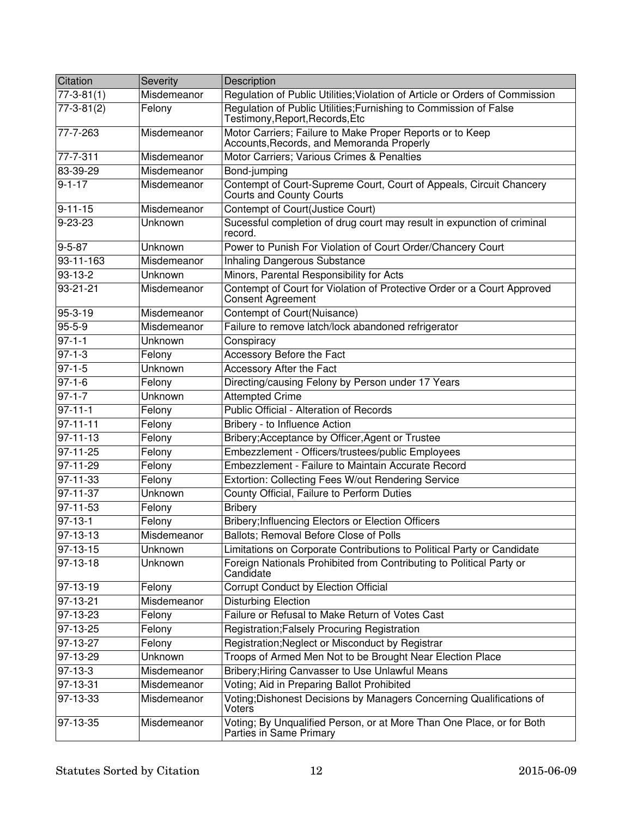| Citation         | <b>Severity</b> | Description                                                                                            |
|------------------|-----------------|--------------------------------------------------------------------------------------------------------|
| $77 - 3 - 81(1)$ | Misdemeanor     | Regulation of Public Utilities; Violation of Article or Orders of Commission                           |
| $77 - 3 - 81(2)$ | Felony          | Regulation of Public Utilities; Furnishing to Commission of False<br>Testimony, Report, Records, Etc   |
| 77-7-263         | Misdemeanor     | Motor Carriers; Failure to Make Proper Reports or to Keep<br>Accounts, Records, and Memoranda Properly |
| 77-7-311         | Misdemeanor     | Motor Carriers; Various Crimes & Penalties                                                             |
| 83-39-29         | Misdemeanor     | Bond-jumping                                                                                           |
| $9 - 1 - 17$     | Misdemeanor     | Contempt of Court-Supreme Court, Court of Appeals, Circuit Chancery<br><b>Courts and County Courts</b> |
| $9 - 11 - 15$    | Misdemeanor     | Contempt of Court(Justice Court)                                                                       |
| $9 - 23 - 23$    | Unknown         | Sucessful completion of drug court may result in expunction of criminal<br>record.                     |
| $9 - 5 - 87$     | Unknown         | Power to Punish For Violation of Court Order/Chancery Court                                            |
| 93-11-163        | Misdemeanor     | Inhaling Dangerous Substance                                                                           |
| $93 - 13 - 2$    | Unknown         | Minors, Parental Responsibility for Acts                                                               |
| $93 - 21 - 21$   | Misdemeanor     | Contempt of Court for Violation of Protective Order or a Court Approved<br>Consent Agreement           |
| $95 - 3 - 19$    | Misdemeanor     | Contempt of Court(Nuisance)                                                                            |
| $95 - 5 - 9$     | Misdemeanor     | Failure to remove latch/lock abandoned refrigerator                                                    |
| $97 - 1 - 1$     | Unknown         | Conspiracy                                                                                             |
| $97 - 1 - 3$     | Felony          | Accessory Before the Fact                                                                              |
| $97 - 1 - 5$     | Unknown         | Accessory After the Fact                                                                               |
| $97 - 1 - 6$     | Felony          | Directing/causing Felony by Person under 17 Years                                                      |
| $97 - 1 - 7$     | Unknown         | <b>Attempted Crime</b>                                                                                 |
| $97 - 11 - 1$    | Felony          | Public Official - Alteration of Records                                                                |
| $97 - 11 - 11$   | Felony          | Bribery - to Influence Action                                                                          |
| $97 - 11 - 13$   | Felony          | Bribery; Acceptance by Officer, Agent or Trustee                                                       |
| $97 - 11 - 25$   | Felony          | Embezzlement - Officers/trustees/public Employees                                                      |
| 97-11-29         | Felony          | Embezzlement - Failure to Maintain Accurate Record                                                     |
| $97 - 11 - 33$   | Felony          | Extortion: Collecting Fees W/out Rendering Service                                                     |
| $97 - 11 - 37$   | Unknown         | County Official, Failure to Perform Duties                                                             |
| $97 - 11 - 53$   | Felony          | <b>Bribery</b>                                                                                         |
| $97 - 13 - 1$    | Felony          | Bribery; Influencing Electors or Election Officers                                                     |
| $97 - 13 - 13$   | Misdemeanor     | Ballots; Removal Before Close of Polls                                                                 |
| 97-13-15         | Unknown         | Limitations on Corporate Contributions to Political Party or Candidate                                 |
| 97-13-18         | Unknown         | Foreign Nationals Prohibited from Contributing to Political Party or<br>Candidate                      |
| 97-13-19         | Felony          | Corrupt Conduct by Election Official                                                                   |
| 97-13-21         | Misdemeanor     | <b>Disturbing Election</b>                                                                             |
| 97-13-23         | Felony          | Failure or Refusal to Make Return of Votes Cast                                                        |
| $97 - 13 - 25$   | Felony          | Registration; Falsely Procuring Registration                                                           |
| 97-13-27         | Felony          | Registration; Neglect or Misconduct by Registrar                                                       |
| 97-13-29         | <b>Unknown</b>  | Troops of Armed Men Not to be Brought Near Election Place                                              |
| $97 - 13 - 3$    | Misdemeanor     | Bribery; Hiring Canvasser to Use Unlawful Means                                                        |
| 97-13-31         | Misdemeanor     | Voting; Aid in Preparing Ballot Prohibited                                                             |
| 97-13-33         | Misdemeanor     | Voting; Dishonest Decisions by Managers Concerning Qualifications of<br>Voters                         |
| 97-13-35         | Misdemeanor     | Voting; By Unqualified Person, or at More Than One Place, or for Both<br>Parties in Same Primary       |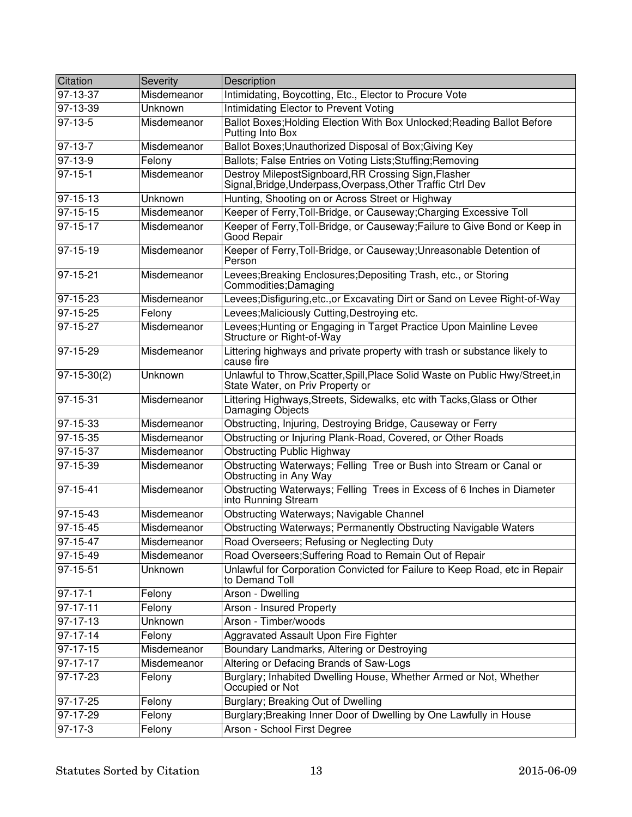| Citation       | Severity    | Description                                                                                                         |
|----------------|-------------|---------------------------------------------------------------------------------------------------------------------|
| 97-13-37       | Misdemeanor | Intimidating, Boycotting, Etc., Elector to Procure Vote                                                             |
| 97-13-39       | Unknown     | Intimidating Elector to Prevent Voting                                                                              |
| $97 - 13 - 5$  | Misdemeanor | Ballot Boxes; Holding Election With Box Unlocked; Reading Ballot Before<br>Putting Into Box                         |
| 97-13-7        | Misdemeanor | Ballot Boxes; Unauthorized Disposal of Box; Giving Key                                                              |
| $97-13-9$      | Felony      | Ballots; False Entries on Voting Lists; Stuffing; Removing                                                          |
| $97 - 15 - 1$  | Misdemeanor | Destroy MilepostSignboard, RR Crossing Sign, Flasher<br>Signal, Bridge, Underpass, Overpass, Other Traffic Ctrl Dev |
| 97-15-13       | Unknown     | Hunting, Shooting on or Across Street or Highway                                                                    |
| $97 - 15 - 15$ | Misdemeanor | Keeper of Ferry, Toll-Bridge, or Causeway; Charging Excessive Toll                                                  |
| 97-15-17       | Misdemeanor | Keeper of Ferry, Toll-Bridge, or Causeway; Failure to Give Bond or Keep in<br>Good Repair                           |
| $97 - 15 - 19$ | Misdemeanor | Keeper of Ferry, Toll-Bridge, or Causeway; Unreasonable Detention of<br>Person                                      |
| 97-15-21       | Misdemeanor | Levees; Breaking Enclosures; Depositing Trash, etc., or Storing<br>Commodities; Damaging                            |
| 97-15-23       | Misdemeanor | Levees; Disfiguring, etc., or Excavating Dirt or Sand on Levee Right-of-Way                                         |
| $97 - 15 - 25$ | Felony      | Levees; Maliciously Cutting, Destroying etc.                                                                        |
| 97-15-27       | Misdemeanor | Levees; Hunting or Engaging in Target Practice Upon Mainline Levee<br>Structure or Right-of-Way                     |
| 97-15-29       | Misdemeanor | Littering highways and private property with trash or substance likely to<br>cause fire                             |
| $97-15-30(2)$  | Unknown     | Unlawful to Throw, Scatter, Spill, Place Solid Waste on Public Hwy/Street, in<br>State Water, on Priv Property or   |
| 97-15-31       | Misdemeanor | Littering Highways, Streets, Sidewalks, etc with Tacks, Glass or Other<br>Damaging Objects                          |
| 97-15-33       | Misdemeanor | Obstructing, Injuring, Destroying Bridge, Causeway or Ferry                                                         |
| 97-15-35       | Misdemeanor | Obstructing or Injuring Plank-Road, Covered, or Other Roads                                                         |
| 97-15-37       | Misdemeanor | <b>Obstructing Public Highway</b>                                                                                   |
| 97-15-39       | Misdemeanor | Obstructing Waterways; Felling Tree or Bush into Stream or Canal or<br>Obstructing in Any Way                       |
| 97-15-41       | Misdemeanor | Obstructing Waterways; Felling Trees in Excess of 6 Inches in Diameter<br>into Running Stream                       |
| 97-15-43       | Misdemeanor | Obstructing Waterways; Navigable Channel                                                                            |
| 97-15-45       | Misdemeanor | Obstructing Waterways; Permanently Obstructing Navigable Waters                                                     |
| 97-15-47       | Misdemeanor | Road Overseers; Refusing or Neglecting Duty                                                                         |
| $97 - 15 - 49$ | Misdemeanor | Road Overseers; Suffering Road to Remain Out of Repair                                                              |
| 97-15-51       | Unknown     | Unlawful for Corporation Convicted for Failure to Keep Road, etc in Repair<br>to Demand Toll                        |
| $97 - 17 - 1$  | Felony      | Arson - Dwelling                                                                                                    |
| 97-17-11       | Felony      | Arson - Insured Property                                                                                            |
| 97-17-13       | Unknown     | Arson - Timber/woods                                                                                                |
| 97-17-14       | Felony      | Aggravated Assault Upon Fire Fighter                                                                                |
| $97 - 17 - 15$ | Misdemeanor | Boundary Landmarks, Altering or Destroying                                                                          |
| 97-17-17       | Misdemeanor | Altering or Defacing Brands of Saw-Logs                                                                             |
| $97 - 17 - 23$ | Felony      | Burglary; Inhabited Dwelling House, Whether Armed or Not, Whether<br>Occupied or Not                                |
| 97-17-25       | Felony      | Burglary; Breaking Out of Dwelling                                                                                  |
| 97-17-29       | Felony      | Burglary; Breaking Inner Door of Dwelling by One Lawfully in House                                                  |
| 97-17-3        | Felony      | Arson - School First Degree                                                                                         |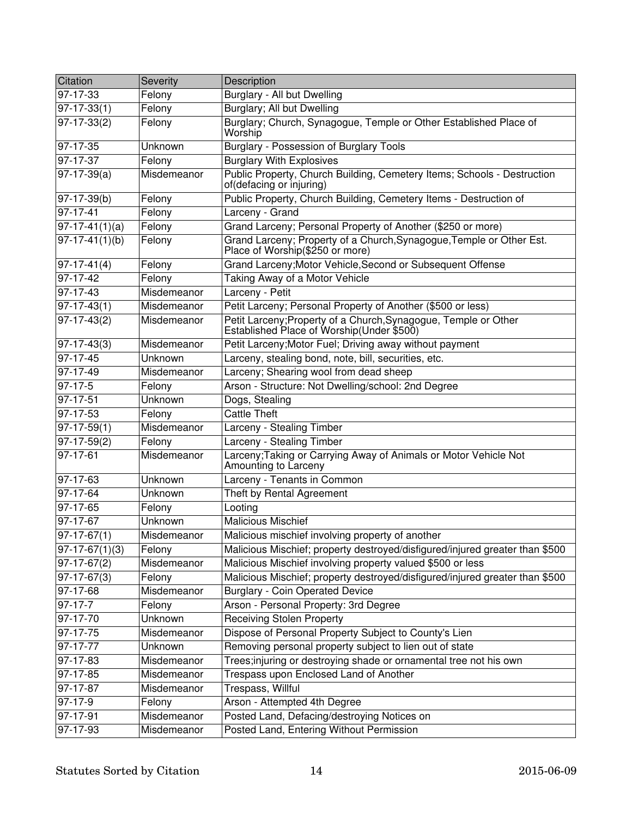| Citation           | Severity       | Description                                                                                                  |
|--------------------|----------------|--------------------------------------------------------------------------------------------------------------|
| 97-17-33           | Felony         | <b>Burglary - All but Dwelling</b>                                                                           |
| $97-17-33(1)$      | Felony         | <b>Burglary; All but Dwelling</b>                                                                            |
| $97-17-33(2)$      | Felony         | Burglary; Church, Synagogue, Temple or Other Established Place of<br>Worship                                 |
| 97-17-35           | Unknown        | Burglary - Possession of Burglary Tools                                                                      |
| 97-17-37           | Felony         | <b>Burglary With Explosives</b>                                                                              |
| $97-17-39(a)$      | Misdemeanor    | Public Property, Church Building, Cemetery Items; Schools - Destruction<br>of(defacing or injuring)          |
| 97-17-39(b)        | Felony         | Public Property, Church Building, Cemetery Items - Destruction of                                            |
| 97-17-41           | Felony         | Larceny - Grand                                                                                              |
| $ 97-17-41(1)(a) $ | Felony         | Grand Larceny; Personal Property of Another (\$250 or more)                                                  |
| $97-17-41(1)(b)$   | Felony         | Grand Larceny; Property of a Church, Synagogue, Temple or Other Est.<br>Place of Worship(\$250 or more)      |
| $ 97-17-41(4) $    | Felony         | Grand Larceny; Motor Vehicle, Second or Subsequent Offense                                                   |
| 97-17-42           | Felony         | Taking Away of a Motor Vehicle                                                                               |
| 97-17-43           | Misdemeanor    | Larceny - Petit                                                                                              |
| $97-17-43(1)$      | Misdemeanor    | Petit Larceny; Personal Property of Another (\$500 or less)                                                  |
| $97-17-43(2)$      | Misdemeanor    | Petit Larceny; Property of a Church, Synagogue, Temple or Other<br>Established Place of Worship(Under \$500) |
| $ 97-17-43(3) $    | Misdemeanor    | Petit Larceny; Motor Fuel; Driving away without payment                                                      |
| $97 - 17 - 45$     | Unknown        | Larceny, stealing bond, note, bill, securities, etc.                                                         |
| $97 - 17 - 49$     | Misdemeanor    | Larceny; Shearing wool from dead sheep                                                                       |
| $97-17-5$          | Felony         | Arson - Structure: Not Dwelling/school: 2nd Degree                                                           |
| $97-17-51$         | <b>Unknown</b> | Dogs, Stealing                                                                                               |
| $97 - 17 - 53$     | Felony         | <b>Cattle Theft</b>                                                                                          |
| $97-17-59(1)$      | Misdemeanor    | Larceny - Stealing Timber                                                                                    |
| $97-17-59(2)$      | Felony         | Larceny - Stealing Timber                                                                                    |
| 97-17-61           | Misdemeanor    | Larceny; Taking or Carrying Away of Animals or Motor Vehicle Not<br>Amounting to Larceny                     |
| 97-17-63           | Unknown        | Larceny - Tenants in Common                                                                                  |
| 97-17-64           | Unknown        | Theft by Rental Agreement                                                                                    |
| 97-17-65           | Felony         | Looting                                                                                                      |
| $97 - 17 - 67$     | <b>Unknown</b> | <b>Malicious Mischief</b>                                                                                    |
| $97-17-67(1)$      | Misdemeanor    | Malicious mischief involving property of another                                                             |
| $ 97-17-67(1)(3) $ | Felony         | Malicious Mischief; property destroyed/disfigured/injured greater than \$500                                 |
| 97-17-67(2)        | Misdemeanor    | Malicious Mischief involving property valued \$500 or less                                                   |
| 97-17-67(3)        | Felony         | Malicious Mischief; property destroyed/disfigured/injured greater than \$500                                 |
| 97-17-68           | Misdemeanor    | <b>Burglary - Coin Operated Device</b>                                                                       |
| 97-17-7            | Felony         | Arson - Personal Property: 3rd Degree                                                                        |
| 97-17-70           | Unknown        | <b>Receiving Stolen Property</b>                                                                             |
| 97-17-75           | Misdemeanor    | Dispose of Personal Property Subject to County's Lien                                                        |
| $97 - 17 - 77$     | Unknown        | Removing personal property subject to lien out of state                                                      |
| 97-17-83           | Misdemeanor    | Trees;injuring or destroying shade or ornamental tree not his own                                            |
| 97-17-85           | Misdemeanor    | Trespass upon Enclosed Land of Another                                                                       |
| 97-17-87           | Misdemeanor    | Trespass, Willful                                                                                            |
| $97-17-9$          | Felony         | Arson - Attempted 4th Degree                                                                                 |
| 97-17-91           | Misdemeanor    | Posted Land, Defacing/destroying Notices on                                                                  |
| 97-17-93           | Misdemeanor    | Posted Land, Entering Without Permission                                                                     |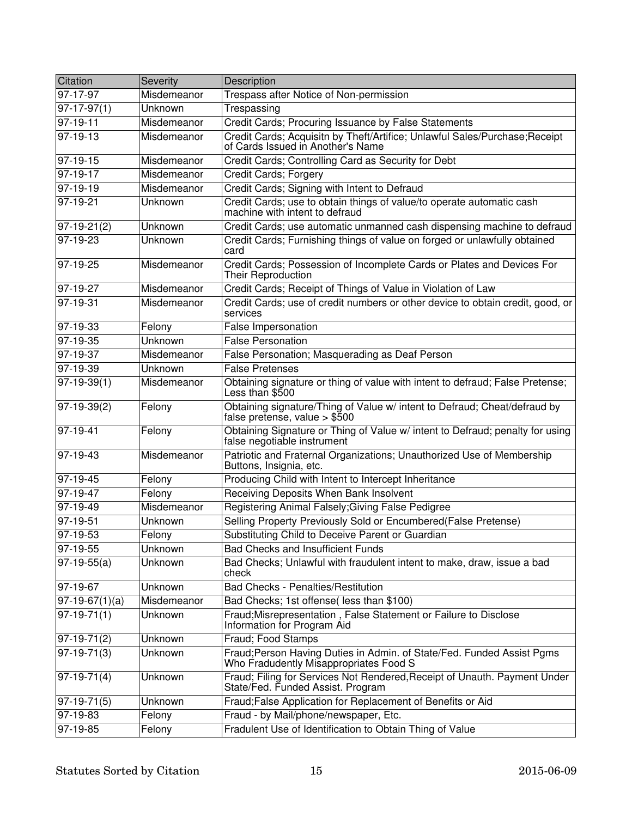| Citation         | Severity    | Description                                                                                                      |
|------------------|-------------|------------------------------------------------------------------------------------------------------------------|
| 97-17-97         | Misdemeanor | Trespass after Notice of Non-permission                                                                          |
| $97-17-97(1)$    | Unknown     | Trespassing                                                                                                      |
| 97-19-11         | Misdemeanor | Credit Cards; Procuring Issuance by False Statements                                                             |
| 97-19-13         | Misdemeanor | Credit Cards; Acquisitn by Theft/Artifice; Unlawful Sales/Purchase; Receipt<br>of Cards Issued in Another's Name |
| 97-19-15         | Misdemeanor | Credit Cards; Controlling Card as Security for Debt                                                              |
| 97-19-17         | Misdemeanor | Credit Cards; Forgery                                                                                            |
| $97-19-19$       | Misdemeanor | Credit Cards; Signing with Intent to Defraud                                                                     |
| 97-19-21         | Unknown     | Credit Cards; use to obtain things of value/to operate automatic cash<br>machine with intent to defraud          |
| 97-19-21(2)      | Unknown     | Credit Cards; use automatic unmanned cash dispensing machine to defraud                                          |
| 97-19-23         | Unknown     | Credit Cards; Furnishing things of value on forged or unlawfully obtained<br>card                                |
| 97-19-25         | Misdemeanor | Credit Cards; Possession of Incomplete Cards or Plates and Devices For<br>Their Reproduction                     |
| 97-19-27         | Misdemeanor | Credit Cards; Receipt of Things of Value in Violation of Law                                                     |
| 97-19-31         | Misdemeanor | Credit Cards; use of credit numbers or other device to obtain credit, good, or<br>services                       |
| 97-19-33         | Felony      | False Impersonation                                                                                              |
| 97-19-35         | Unknown     | <b>False Personation</b>                                                                                         |
| 97-19-37         | Misdemeanor | False Personation; Masquerading as Deaf Person                                                                   |
| $97-19-39$       | Unknown     | <b>False Pretenses</b>                                                                                           |
| $97-19-39(1)$    | Misdemeanor | Obtaining signature or thing of value with intent to defraud; False Pretense;<br>Less than \$500                 |
| 97-19-39(2)      | Felony      | Obtaining signature/Thing of Value w/ intent to Defraud; Cheat/defraud by<br>false pretense, value $>$ \$500     |
| 97-19-41         | Felony      | Obtaining Signature or Thing of Value w/ intent to Defraud; penalty for using<br>false negotiable instrument     |
| $97 - 19 - 43$   | Misdemeanor | Patriotic and Fraternal Organizations; Unauthorized Use of Membership<br>Buttons, Insignia, etc.                 |
| $97-19-45$       | Felony      | Producing Child with Intent to Intercept Inheritance                                                             |
| $97-19-47$       | Felony      | Receiving Deposits When Bank Insolvent                                                                           |
| 97-19-49         | Misdemeanor | Registering Animal Falsely; Giving False Pedigree                                                                |
| 97-19-51         | Unknown     | Selling Property Previously Sold or Encumbered(False Pretense)                                                   |
| 97-19-53         | Felony      | Substituting Child to Deceive Parent or Guardian                                                                 |
| 97-19-55         | Unknown     | <b>Bad Checks and Insufficient Funds</b>                                                                         |
| $97-19-55(a)$    | Unknown     | Bad Checks; Unlawful with fraudulent intent to make, draw, issue a bad<br>check                                  |
| 97-19-67         | Unknown     | <b>Bad Checks - Penalties/Restitution</b>                                                                        |
| $97-19-67(1)(a)$ | Misdemeanor | Bad Checks; 1st offense(less than \$100)                                                                         |
| $97-19-71(1)$    | Unknown     | Fraud; Misrepresentation, False Statement or Failure to Disclose<br>Information for Program Aid                  |
| 97-19-71(2)      | Unknown     | Fraud; Food Stamps                                                                                               |
| $97-19-71(3)$    | Unknown     | Fraud; Person Having Duties in Admin. of State/Fed. Funded Assist Pgms<br>Who Fradudently Misappropriates Food S |
| $ 97-19-71(4) $  | Unknown     | Fraud; Filing for Services Not Rendered, Receipt of Unauth. Payment Under<br>State/Fed. Funded Assist. Program   |
| $ 97-19-71(5) $  | Unknown     | Fraud; False Application for Replacement of Benefits or Aid                                                      |
| 97-19-83         | Felony      | Fraud - by Mail/phone/newspaper, Etc.                                                                            |
| 97-19-85         | Felony      | Fradulent Use of Identification to Obtain Thing of Value                                                         |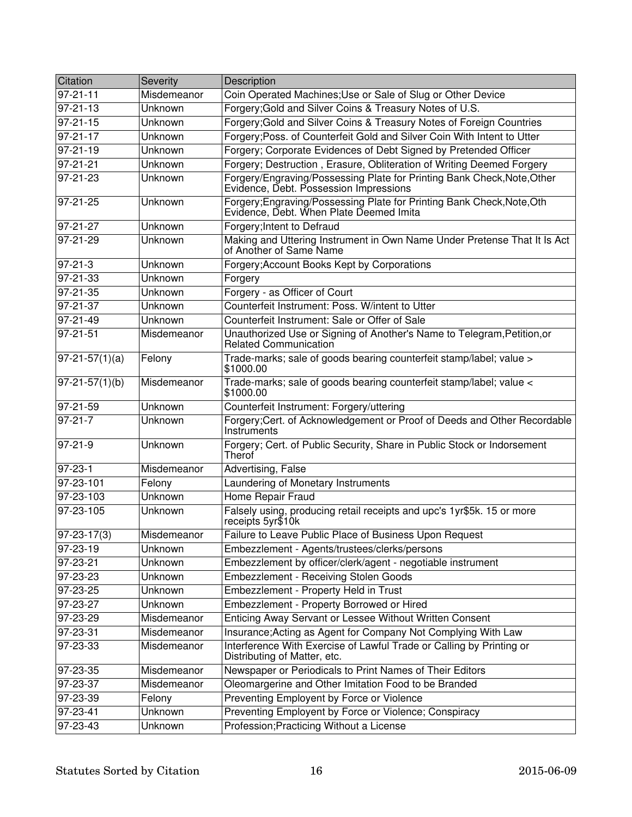| Citation                  | Severity       | Description                                                                                                       |
|---------------------------|----------------|-------------------------------------------------------------------------------------------------------------------|
| $97 - 21 - 11$            | Misdemeanor    | Coin Operated Machines; Use or Sale of Slug or Other Device                                                       |
| $97 - 21 - 13$            | Unknown        | Forgery; Gold and Silver Coins & Treasury Notes of U.S.                                                           |
| $\overline{97} - 21 - 15$ | Unknown        | Forgery; Gold and Silver Coins & Treasury Notes of Foreign Countries                                              |
| $97 - 21 - 17$            | Unknown        | Forgery; Poss. of Counterfeit Gold and Silver Coin With Intent to Utter                                           |
| $97 - 21 - 19$            | Unknown        | Forgery; Corporate Evidences of Debt Signed by Pretended Officer                                                  |
| $97 - 21 - 21$            | <b>Unknown</b> | Forgery; Destruction, Erasure, Obliteration of Writing Deemed Forgery                                             |
| $97 - 21 - 23$            | Unknown        | Forgery/Engraving/Possessing Plate for Printing Bank Check, Note, Other Evidence, Debt. Possession Impressions    |
| $97 - 21 - 25$            | Unknown        | Forgery; Engraving/Possessing Plate for Printing Bank Check, Note, Oth<br>Evidence, Debt. When Plate Deemed Imita |
| 97-21-27                  | Unknown        | Forgery; Intent to Defraud                                                                                        |
| 97-21-29                  | Unknown        | Making and Uttering Instrument in Own Name Under Pretense That It Is Act<br>of Another of Same Name               |
| $97 - 21 - 3$             | Unknown        | Forgery; Account Books Kept by Corporations                                                                       |
| $97 - 21 - 33$            | Unknown        | Forgery                                                                                                           |
| $97 - 21 - 35$            | Unknown        | Forgery - as Officer of Court                                                                                     |
| $\frac{1}{97-21-37}$      | Unknown        | Counterfeit Instrument: Poss. W/intent to Utter                                                                   |
| $97 - 21 - 49$            | Unknown        | Counterfeit Instrument: Sale or Offer of Sale                                                                     |
| $97 - 21 - 51$            | Misdemeanor    | Unauthorized Use or Signing of Another's Name to Telegram, Petition, or<br>Related Communication                  |
| $97-21-57(1)(a)$          | Felony         | Trade-marks; sale of goods bearing counterfeit stamp/label; value ><br>\$1000.00                                  |
| $97 - 21 - 57(1)(b)$      | Misdemeanor    | Trade-marks; sale of goods bearing counterfeit stamp/label; value <<br>\$1000.00                                  |
| $97-21-59$                | Unknown        | Counterfeit Instrument: Forgery/uttering                                                                          |
| $97-21-7$                 | Unknown        | Forgery; Cert. of Acknowledgement or Proof of Deeds and Other Recordable<br>Instruments                           |
| $97 - 21 - 9$             | Unknown        | Forgery; Cert. of Public Security, Share in Public Stock or Indorsement<br>Therof                                 |
| $97 - 23 - 1$             | Misdemeanor    | Advertising, False                                                                                                |
| 97-23-101                 | Felony         | Laundering of Monetary Instruments                                                                                |
| 97-23-103                 | Unknown        | Home Repair Fraud                                                                                                 |
| 97-23-105                 | Unknown        | Falsely using, producing retail receipts and upc's 1yr\$5k. 15 or more<br>receipts 5yr\$10k                       |
| $97 - 23 - 17(3)$         | Misdemeanor    | Failure to Leave Public Place of Business Upon Request                                                            |
| 97-23-19                  | Unknown        | Embezzlement - Agents/trustees/clerks/persons                                                                     |
| 97-23-21                  | Unknown        | Embezzlement by officer/clerk/agent - negotiable instrument                                                       |
| 97-23-23                  | Unknown        | <b>Embezzlement - Receiving Stolen Goods</b>                                                                      |
| 97-23-25                  | Unknown        | Embezzlement - Property Held in Trust                                                                             |
| 97-23-27                  | Unknown        | Embezzlement - Property Borrowed or Hired                                                                         |
| 97-23-29                  | Misdemeanor    | Enticing Away Servant or Lessee Without Written Consent                                                           |
| 97-23-31                  | Misdemeanor    | Insurance; Acting as Agent for Company Not Complying With Law                                                     |
| 97-23-33                  | Misdemeanor    | Interference With Exercise of Lawful Trade or Calling by Printing or<br>Distributing of Matter, etc.              |
| 97-23-35                  | Misdemeanor    | Newspaper or Periodicals to Print Names of Their Editors                                                          |
| 97-23-37                  | Misdemeanor    | Oleomargerine and Other Imitation Food to be Branded                                                              |
| 97-23-39                  | Felony         | Preventing Employent by Force or Violence                                                                         |
| 97-23-41                  | Unknown        | Preventing Employent by Force or Violence; Conspiracy                                                             |
| 97-23-43                  | Unknown        | Profession; Practicing Without a License                                                                          |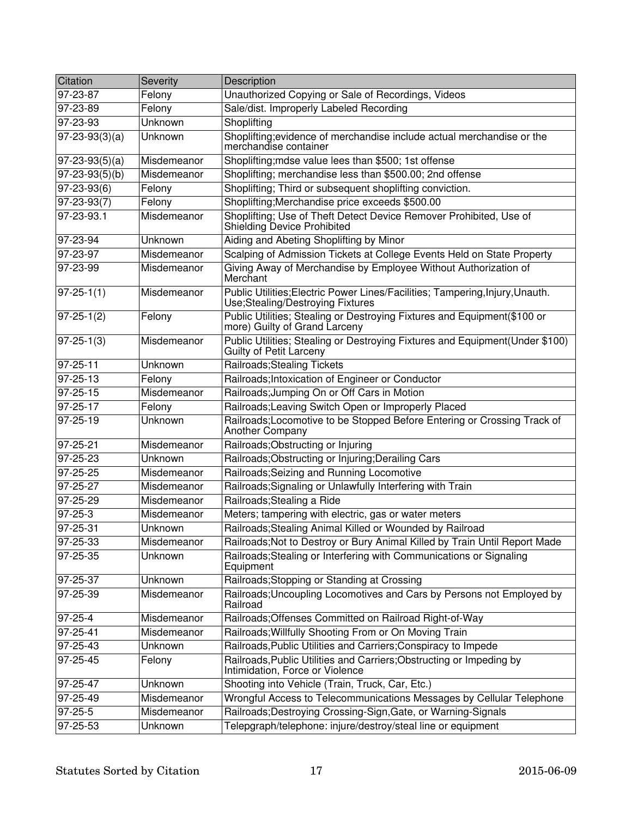| Citation                     | Severity    | Description                                                                                                       |
|------------------------------|-------------|-------------------------------------------------------------------------------------------------------------------|
| 97-23-87                     | Felony      | Unauthorized Copying or Sale of Recordings, Videos                                                                |
| $97 - 23 - 89$               | Felony      | Sale/dist. Improperly Labeled Recording                                                                           |
| 97-23-93                     | Unknown     | Shoplifting                                                                                                       |
| $\overline{97-23-93(3)}(a)$  | Unknown     | Shoplifting; evidence of merchandise include actual merchandise or the<br>merchandise container                   |
| $97 - 23 - 93(5)(a)$         | Misdemeanor | Shoplifting; mdse value lees than \$500; 1st offense                                                              |
| $\overline{97-23-93(5)}$ (b) | Misdemeanor | Shoplifting; merchandise less than \$500.00; 2nd offense                                                          |
| $97 - 23 - 93(6)$            | Felony      | Shoplifting; Third or subsequent shoplifting conviction.                                                          |
| $97 - 23 - 93(7)$            | Felony      | Shoplifting; Merchandise price exceeds \$500.00                                                                   |
| 97-23-93.1                   | Misdemeanor | Shoplifting; Use of Theft Detect Device Remover Prohibited, Use of<br>Shielding Device Prohibited                 |
| 97-23-94                     | Unknown     | Aiding and Abeting Shoplifting by Minor                                                                           |
| 97-23-97                     | Misdemeanor | Scalping of Admission Tickets at College Events Held on State Property                                            |
| 97-23-99                     | Misdemeanor | Giving Away of Merchandise by Employee Without Authorization of<br>Merchant                                       |
| $97 - 25 - 1(1)$             | Misdemeanor | Public Utilities; Electric Power Lines/Facilities; Tampering, Injury, Unauth.<br>Use;Stealing/Destroying Fixtures |
| $97 - 25 - 1(2)$             | Felony      | Public Utilities; Stealing or Destroying Fixtures and Equipment(\$100 or<br>more) Guilty of Grand Larceny         |
| $97 - 25 - 1(3)$             | Misdemeanor | Public Utilities; Stealing or Destroying Fixtures and Equipment(Under \$100)<br>Guilty of Petit Larceny           |
| 97-25-11                     | Unknown     | Railroads; Stealing Tickets                                                                                       |
| 97-25-13                     | Felony      | Railroads; Intoxication of Engineer or Conductor                                                                  |
| 97-25-15                     | Misdemeanor | Railroads; Jumping On or Off Cars in Motion                                                                       |
| 97-25-17                     | Felony      | Railroads; Leaving Switch Open or Improperly Placed                                                               |
| 97-25-19                     | Unknown     | Railroads; Locomotive to be Stopped Before Entering or Crossing Track of<br>Another Company                       |
| 97-25-21                     | Misdemeanor | Railroads; Obstructing or Injuring                                                                                |
| 97-25-23                     | Unknown     | Railroads; Obstructing or Injuring; Derailing Cars                                                                |
| 97-25-25                     | Misdemeanor | Railroads; Seizing and Running Locomotive                                                                         |
| 97-25-27                     | Misdemeanor | Railroads; Signaling or Unlawfully Interfering with Train                                                         |
| 97-25-29                     | Misdemeanor | Railroads; Stealing a Ride                                                                                        |
| 97-25-3                      | Misdemeanor | Meters; tampering with electric, gas or water meters                                                              |
| $97 - 25 - 31$               | Unknown     | Railroads; Stealing Animal Killed or Wounded by Railroad                                                          |
| 97-25-33                     | Misdemeanor | Railroads; Not to Destroy or Bury Animal Killed by Train Until Report Made                                        |
| 97-25-35                     | Unknown     | Railroads; Stealing or Interfering with Communications or Signaling<br>Equipment                                  |
| 97-25-37                     | Unknown     | Railroads; Stopping or Standing at Crossing                                                                       |
| 97-25-39                     | Misdemeanor | Railroads; Uncoupling Locomotives and Cars by Persons not Employed by<br>Railroad                                 |
| $97 - 25 - 4$                | Misdemeanor | Railroads; Offenses Committed on Railroad Right-of-Way                                                            |
| 97-25-41                     | Misdemeanor | Railroads; Willfully Shooting From or On Moving Train                                                             |
| 97-25-43                     | Unknown     | Railroads, Public Utilities and Carriers; Conspiracy to Impede                                                    |
| 97-25-45                     | Felony      | Railroads, Public Utilities and Carriers; Obstructing or Impeding by<br>Intimidation, Force or Violence           |
| 97-25-47                     | Unknown     | Shooting into Vehicle (Train, Truck, Car, Etc.)                                                                   |
| 97-25-49                     | Misdemeanor | Wrongful Access to Telecommunications Messages by Cellular Telephone                                              |
| $97 - 25 - 5$                | Misdemeanor | Railroads; Destroying Crossing-Sign, Gate, or Warning-Signals                                                     |
| 97-25-53                     | Unknown     | Telepgraph/telephone: injure/destroy/steal line or equipment                                                      |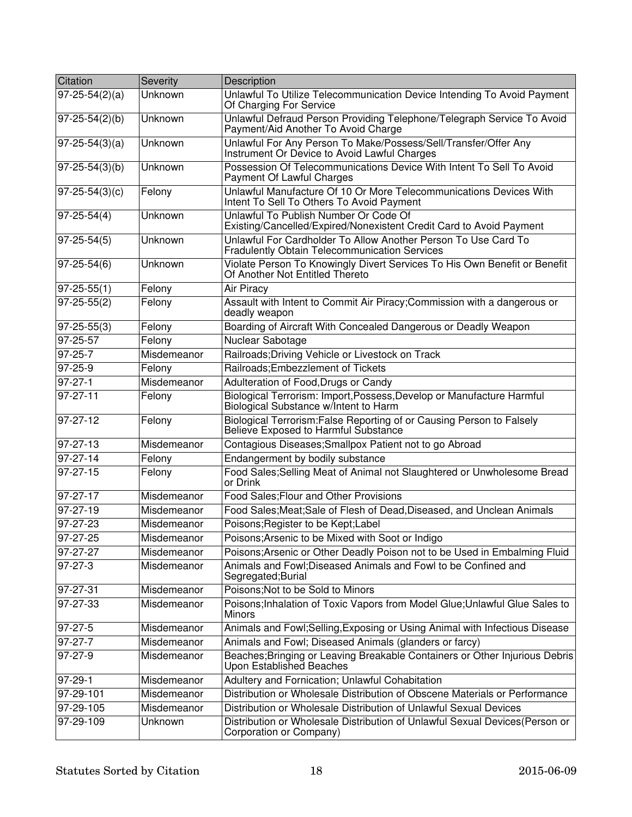| Citation             | Severity    | Description                                                                                                            |
|----------------------|-------------|------------------------------------------------------------------------------------------------------------------------|
| $97 - 25 - 54(2)(a)$ | Unknown     | Unlawful To Utilize Telecommunication Device Intending To Avoid Payment<br>Of Charging For Service                     |
| $97 - 25 - 54(2)(b)$ | Unknown     | Unlawful Defraud Person Providing Telephone/Telegraph Service To Avoid<br>Payment/Aid Another To Avoid Charge          |
| $97 - 25 - 54(3)(a)$ | Unknown     | Unlawful For Any Person To Make/Possess/Sell/Transfer/Offer Any<br>Instrument Or Device to Avoid Lawful Charges        |
| $97 - 25 - 54(3)(b)$ | Unknown     | Possession Of Telecommunications Device With Intent To Sell To Avoid<br>Payment Of Lawful Charges                      |
| $97 - 25 - 54(3)(c)$ | Felony      | Unlawful Manufacture Of 10 Or More Telecommunications Devices With<br>Intent To Sell To Others To Avoid Payment        |
| $97 - 25 - 54(4)$    | Unknown     | Unlawful To Publish Number Or Code Of<br>Existing/Cancelled/Expired/Nonexistent Credit Card to Avoid Payment           |
| $97 - 25 - 54(5)$    | Unknown     | Unlawful For Cardholder To Allow Another Person To Use Card To<br><b>Fradulently Obtain Telecommunication Services</b> |
| $97 - 25 - 54(6)$    | Unknown     | Violate Person To Knowingly Divert Services To His Own Benefit or Benefit<br>Of Another Not Entitled Thereto           |
| $97 - 25 - 55(1)$    | Felony      | Air Piracy                                                                                                             |
| $97 - 25 - 55(2)$    | Felony      | Assault with Intent to Commit Air Piracy; Commission with a dangerous or<br>deadly weapon                              |
| $97 - 25 - 55(3)$    | Felony      | Boarding of Aircraft With Concealed Dangerous or Deadly Weapon                                                         |
| 97-25-57             | Felony      | Nuclear Sabotage                                                                                                       |
| $97 - 25 - 7$        | Misdemeanor | Railroads; Driving Vehicle or Livestock on Track                                                                       |
| $97 - 25 - 9$        | Felony      | Railroads; Embezzlement of Tickets                                                                                     |
| 97-27-1              | Misdemeanor | Adulteration of Food, Drugs or Candy                                                                                   |
| $97 - 27 - 11$       | Felony      | Biological Terrorism: Import, Possess, Develop or Manufacture Harmful<br>Biological Substance w/Intent to Harm         |
| 97-27-12             | Felony      | Biological Terrorism: False Reporting of or Causing Person to Falsely<br>Believe Exposed to Harmful Substance          |
| $\sqrt{97-27-13}$    | Misdemeanor | Contagious Diseases; Smallpox Patient not to go Abroad                                                                 |
| $97 - 27 - 14$       | Felony      | Endangerment by bodily substance                                                                                       |
| $97 - 27 - 15$       | Felony      | Food Sales; Selling Meat of Animal not Slaughtered or Unwholesome Bread<br>or Drink                                    |
| $97 - 27 - 17$       | Misdemeanor | Food Sales; Flour and Other Provisions                                                                                 |
| $97 - 27 - 19$       | Misdemeanor | Food Sales; Meat; Sale of Flesh of Dead, Diseased, and Unclean Animals                                                 |
| $97 - 27 - 23$       | Misdemeanor | Poisons; Register to be Kept; Label                                                                                    |
| $97 - 27 - 25$       | Misdemeanor | Poisons; Arsenic to be Mixed with Soot or Indigo                                                                       |
| 97-27-27             | Misdemeanor | Poisons; Arsenic or Other Deadly Poison not to be Used in Embalming Fluid                                              |
| $97 - 27 - 3$        | Misdemeanor | Animals and Fowl:Diseased Animals and Fowl to be Confined and<br>Segregated; Burial                                    |
| $97 - 27 - 31$       | Misdemeanor | Poisons; Not to be Sold to Minors                                                                                      |
| 97-27-33             | Misdemeanor | Poisons; Inhalation of Toxic Vapors from Model Glue; Unlawful Glue Sales to<br><b>Minors</b>                           |
| $97 - 27 - 5$        | Misdemeanor | Animals and Fowl;Selling, Exposing or Using Animal with Infectious Disease                                             |
| $97 - 27 - 7$        | Misdemeanor | Animals and Fowl; Diseased Animals (glanders or farcy)                                                                 |
| 97-27-9              | Misdemeanor | Beaches; Bringing or Leaving Breakable Containers or Other Injurious Debris<br><b>Upon Established Beaches</b>         |
| $97-29-1$            | Misdemeanor | Adultery and Fornication; Unlawful Cohabitation                                                                        |
| 97-29-101            | Misdemeanor | Distribution or Wholesale Distribution of Obscene Materials or Performance                                             |
| 97-29-105            | Misdemeanor | Distribution or Wholesale Distribution of Unlawful Sexual Devices                                                      |
| 97-29-109            | Unknown     | Distribution or Wholesale Distribution of Unlawful Sexual Devices(Person or<br>Corporation or Company)                 |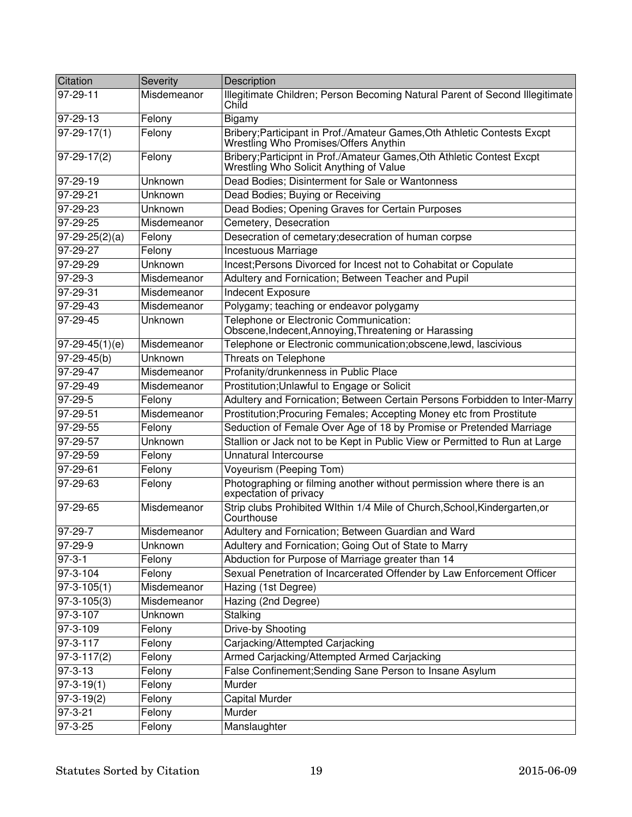| Citation                     | Severity    | Description                                                                                                       |
|------------------------------|-------------|-------------------------------------------------------------------------------------------------------------------|
| 97-29-11                     | Misdemeanor | Illegitimate Children; Person Becoming Natural Parent of Second Illegitimate<br>Child                             |
| 97-29-13                     | Felony      | Bigamy                                                                                                            |
| $97-29-17(1)$                | Felony      | Bribery; Participant in Prof./Amateur Games, Oth Athletic Contests Excpt<br>Wrestling Who Promises/Offers Anythin |
| $97-29-17(2)$                | Felony      | Bribery; Participnt in Prof./Amateur Games, Oth Athletic Contest Excpt<br>Wrestling Who Solicit Anything of Value |
| 97-29-19                     | Unknown     | Dead Bodies; Disinterment for Sale or Wantonness                                                                  |
| 97-29-21                     | Unknown     | Dead Bodies; Buying or Receiving                                                                                  |
| 97-29-23                     | Unknown     | Dead Bodies; Opening Graves for Certain Purposes                                                                  |
| 97-29-25                     | Misdemeanor | Cemetery, Desecration                                                                                             |
| $97-29-25(2)(a)$             | Felony      | Desecration of cemetary; desecration of human corpse                                                              |
| 97-29-27                     | Felony      | <b>Incestuous Marriage</b>                                                                                        |
| 97-29-29                     | Unknown     | Incest; Persons Divorced for Incest not to Cohabitat or Copulate                                                  |
| 97-29-3                      | Misdemeanor | Adultery and Fornication; Between Teacher and Pupil                                                               |
| 97-29-31                     | Misdemeanor | <b>Indecent Exposure</b>                                                                                          |
| $\frac{1}{97-29-43}$         | Misdemeanor | Polygamy; teaching or endeavor polygamy                                                                           |
| 97-29-45                     | Unknown     | Telephone or Electronic Communication:<br>Obscene, Indecent, Annoying, Threatening or Harassing                   |
| $97-29-45(1)(e)$             | Misdemeanor | Telephone or Electronic communication; obscene, lewd, lascivious                                                  |
| $97 - 29 - 45(b)$            | Unknown     | Threats on Telephone                                                                                              |
| 97-29-47                     | Misdemeanor | Profanity/drunkenness in Public Place                                                                             |
| 97-29-49                     | Misdemeanor | Prostitution; Unlawful to Engage or Solicit                                                                       |
| $97-29-5$                    | Felony      | Adultery and Fornication; Between Certain Persons Forbidden to Inter-Marry                                        |
| 97-29-51                     | Misdemeanor | Prostitution; Procuring Females; Accepting Money etc from Prostitute                                              |
| 97-29-55                     | Felony      | Seduction of Female Over Age of 18 by Promise or Pretended Marriage                                               |
| 97-29-57                     | Unknown     | Stallion or Jack not to be Kept in Public View or Permitted to Run at Large                                       |
| 97-29-59                     | Felony      | Unnatural Intercourse                                                                                             |
| 97-29-61                     | Felony      | Voyeurism (Peeping Tom)                                                                                           |
| 97-29-63                     | Felony      | Photographing or filming another without permission where there is an<br>expectation of privacy                   |
| 97-29-65                     | Misdemeanor | Strip clubs Prohibited WIthin 1/4 Mile of Church, School, Kindergarten, or<br>Courthouse                          |
| 97-29-7                      | Misdemeanor | Adultery and Fornication; Between Guardian and Ward                                                               |
| 97-29-9                      | Unknown     | Adultery and Fornication; Going Out of State to Marry                                                             |
| $97 - 3 - 1$                 | Felony      | Abduction for Purpose of Marriage greater than 14                                                                 |
| $97 - 3 - 104$               | Felony      | Sexual Penetration of Incarcerated Offender by Law Enforcement Officer                                            |
| $\overline{97} - 3 - 105(1)$ | Misdemeanor | Hazing (1st Degree)                                                                                               |
| $97 - 3 - 105(3)$            | Misdemeanor | Hazing (2nd Degree)                                                                                               |
| 97-3-107                     | Unknown     | Stalking                                                                                                          |
| $97 - 3 - 109$               | Felony      | Drive-by Shooting                                                                                                 |
| $97 - 3 - 117$               | Felony      | Carjacking/Attempted Carjacking                                                                                   |
| $97 - 3 - 117(2)$            | Felony      | Armed Carjacking/Attempted Armed Carjacking                                                                       |
| $97 - 3 - 13$                | Felony      | False Confinement; Sending Sane Person to Insane Asylum                                                           |
| $\overline{97} - 3 - 19(1)$  | Felony      | Murder                                                                                                            |
| $97-3-19(2)$                 | Felony      | <b>Capital Murder</b>                                                                                             |
| 97-3-21                      | Felony      | Murder                                                                                                            |
| 97-3-25                      | Felony      | Manslaughter                                                                                                      |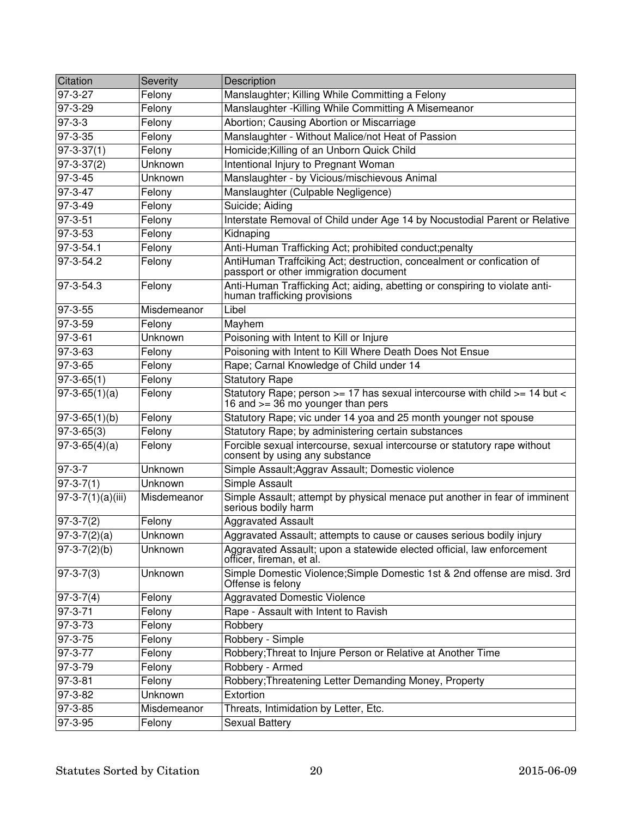| Citation                | Severity    | Description                                                                                                          |
|-------------------------|-------------|----------------------------------------------------------------------------------------------------------------------|
| 97-3-27                 | Felony      | Manslaughter; Killing While Committing a Felony                                                                      |
| $97 - 3 - 29$           | Felony      | Manslaughter - Killing While Committing A Misemeanor                                                                 |
| $97 - 3 - 3$            | Felony      | Abortion; Causing Abortion or Miscarriage                                                                            |
| $97 - 3 - 35$           | Felony      | Manslaughter - Without Malice/not Heat of Passion                                                                    |
| $97 - 3 - 37(1)$        | Felony      | Homicide; Killing of an Unborn Quick Child                                                                           |
| $97 - 3 - 37(2)$        | Unknown     | Intentional Injury to Pregnant Woman                                                                                 |
| $97 - 3 - 45$           | Unknown     | Manslaughter - by Vicious/mischievous Animal                                                                         |
| $97 - 3 - 47$           | Felony      | Manslaughter (Culpable Negligence)                                                                                   |
| $97 - 3 - 49$           | Felony      | Suicide; Aiding                                                                                                      |
| $97 - 3 - 51$           | Felony      | Interstate Removal of Child under Age 14 by Nocustodial Parent or Relative                                           |
| 97-3-53                 | Felony      | Kidnaping                                                                                                            |
| $97-3-54.1$             | Felony      | Anti-Human Trafficking Act; prohibited conduct; penalty                                                              |
| 97-3-54.2               | Felony      | AntiHuman Traffciking Act; destruction, concealment or confication of<br>passport or other immigration document      |
| 97-3-54.3               | Felony      | Anti-Human Trafficking Act; aiding, abetting or conspiring to violate anti-<br>human trafficking provisions          |
| 97-3-55                 | Misdemeanor | Libel                                                                                                                |
| 97-3-59                 | Felony      | Mayhem                                                                                                               |
| $97 - 3 - 61$           | Unknown     | Poisoning with Intent to Kill or Injure                                                                              |
| 97-3-63                 | Felony      | Poisoning with Intent to Kill Where Death Does Not Ensue                                                             |
| 97-3-65                 | Felony      | Rape; Carnal Knowledge of Child under 14                                                                             |
| $97 - 3 - 65(1)$        | Felony      | <b>Statutory Rape</b>                                                                                                |
| $97-3-65(1)(a)$         | Felony      | Statutory Rape; person >= 17 has sexual intercourse with child >= 14 but <<br>16 and $\ge$ = 36 mo younger than pers |
| $97 - 3 - 65(1)(b)$     | Felony      | Statutory Rape; vic under 14 yoa and 25 month younger not spouse                                                     |
| $97 - 3 - 65(3)$        | Felony      | Statutory Rape; by administering certain substances                                                                  |
| $97-3-65(4)(a)$         | Felony      | Forcible sexual intercourse, sexual intercourse or statutory rape without<br>consent by using any substance          |
| 97-3-7                  | Unknown     | Simple Assault; Aggrav Assault; Domestic violence                                                                    |
| $97 - 3 - 7(1)$         | Unknown     | Simple Assault                                                                                                       |
| $97 - 3 - 7(1)(a)(iii)$ | Misdemeanor | Simple Assault; attempt by physical menace put another in fear of imminent<br>serious bodily harm                    |
| $97-3-7(2)$             | Felony      | <b>Aggravated Assault</b>                                                                                            |
| $\sqrt{97-3-7(2)(a)}$   | Unknown     | Aggravated Assault; attempts to cause or causes serious bodily injury                                                |
| $97-3-7(2)(b)$          | Unknown     | Aggravated Assault; upon a statewide elected official, law enforcement<br>officer, fireman, et al.                   |
| $97 - 3 - 7(3)$         | Unknown     | Simple Domestic Violence; Simple Domestic 1st & 2nd offense are misd. 3rd<br>Offense is felony                       |
| $97-3-7(4)$             | Felony      | <b>Aggravated Domestic Violence</b>                                                                                  |
| $97 - 3 - 71$           | Felony      | Rape - Assault with Intent to Ravish                                                                                 |
| 97-3-73                 | Felony      | Robbery                                                                                                              |
| 97-3-75                 | Felony      | Robbery - Simple                                                                                                     |
| 97-3-77                 | Felony      | Robbery; Threat to Injure Person or Relative at Another Time                                                         |
| 97-3-79                 | Felony      | Robbery - Armed                                                                                                      |
| $97 - 3 - 81$           | Felony      | Robbery; Threatening Letter Demanding Money, Property                                                                |
| 97-3-82                 | Unknown     | Extortion                                                                                                            |
| 97-3-85                 | Misdemeanor | Threats, Intimidation by Letter, Etc.                                                                                |
| 97-3-95                 | Felony      | <b>Sexual Battery</b>                                                                                                |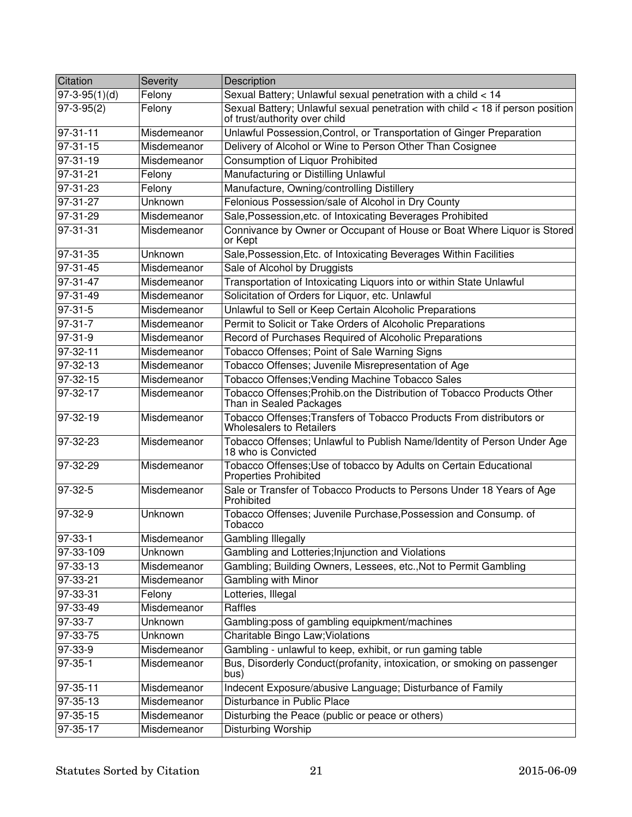| Citation        | <b>Severity</b> | Description                                                                                                     |
|-----------------|-----------------|-----------------------------------------------------------------------------------------------------------------|
| $97-3-95(1)(d)$ | Felony          | Sexual Battery; Unlawful sexual penetration with a child < 14                                                   |
| $97-3-95(2)$    | Felony          | Sexual Battery; Unlawful sexual penetration with child < 18 if person position<br>of trust/authority over child |
| $97 - 31 - 11$  | Misdemeanor     | Unlawful Possession, Control, or Transportation of Ginger Preparation                                           |
| $97 - 31 - 15$  | Misdemeanor     | Delivery of Alcohol or Wine to Person Other Than Cosignee                                                       |
| $97 - 31 - 19$  | Misdemeanor     | <b>Consumption of Liquor Prohibited</b>                                                                         |
| 97-31-21        | Felony          | Manufacturing or Distilling Unlawful                                                                            |
| $97 - 31 - 23$  | Felony          | Manufacture, Owning/controlling Distillery                                                                      |
| $97-31-27$      | Unknown         | Felonious Possession/sale of Alcohol in Dry County                                                              |
| 97-31-29        | Misdemeanor     | Sale, Possession, etc. of Intoxicating Beverages Prohibited                                                     |
| 97-31-31        | Misdemeanor     | Connivance by Owner or Occupant of House or Boat Where Liquor is Stored<br>or Kept                              |
| 97-31-35        | Unknown         | Sale, Possession, Etc. of Intoxicating Beverages Within Facilities                                              |
| $97-31-45$      | Misdemeanor     | Sale of Alcohol by Druggists                                                                                    |
| $97 - 31 - 47$  | Misdemeanor     | Transportation of Intoxicating Liquors into or within State Unlawful                                            |
| $97-31-49$      | Misdemeanor     | Solicitation of Orders for Liquor, etc. Unlawful                                                                |
| $97-31-5$       | Misdemeanor     | Unlawful to Sell or Keep Certain Alcoholic Preparations                                                         |
| $97 - 31 - 7$   | Misdemeanor     | Permit to Solicit or Take Orders of Alcoholic Preparations                                                      |
| $97 - 31 - 9$   | Misdemeanor     | Record of Purchases Required of Alcoholic Preparations                                                          |
| 97-32-11        | Misdemeanor     | Tobacco Offenses; Point of Sale Warning Signs                                                                   |
| 97-32-13        | Misdemeanor     | Tobacco Offenses; Juvenile Misrepresentation of Age                                                             |
| 97-32-15        | Misdemeanor     | Tobacco Offenses; Vending Machine Tobacco Sales                                                                 |
| 97-32-17        | Misdemeanor     | Tobacco Offenses; Prohib.on the Distribution of Tobacco Products Other<br>Than in Sealed Packages               |
| $97-32-19$      | Misdemeanor     | Tobacco Offenses; Transfers of Tobacco Products From distributors or<br><b>Wholesalers to Retailers</b>         |
| 97-32-23        | Misdemeanor     | Tobacco Offenses; Unlawful to Publish Name/Identity of Person Under Age<br>18 who is Convicted                  |
| 97-32-29        | Misdemeanor     | Tobacco Offenses; Use of tobacco by Adults on Certain Educational<br><b>Properties Prohibited</b>               |
| $97-32-5$       | Misdemeanor     | Sale or Transfer of Tobacco Products to Persons Under 18 Years of Age<br>Prohibited                             |
| 97-32-9         | Unknown         | Tobacco Offenses; Juvenile Purchase, Possession and Consump. of<br>Tobacco                                      |
| $97 - 33 - 1$   | Misdemeanor     | <b>Gambling Illegally</b>                                                                                       |
| 97-33-109       | Unknown         | Gambling and Lotteries; Injunction and Violations                                                               |
| 97-33-13        | Misdemeanor     | Gambling; Building Owners, Lessees, etc., Not to Permit Gambling                                                |
| 97-33-21        | Misdemeanor     | Gambling with Minor                                                                                             |
| 97-33-31        | Felony          | Lotteries, Illegal                                                                                              |
| 97-33-49        | Misdemeanor     | Raffles                                                                                                         |
| 97-33-7         | Unknown         | Gambling:poss of gambling equipkment/machines                                                                   |
| 97-33-75        | Unknown         | Charitable Bingo Law; Violations                                                                                |
| 97-33-9         | Misdemeanor     | Gambling - unlawful to keep, exhibit, or run gaming table                                                       |
| $97-35-1$       | Misdemeanor     | Bus, Disorderly Conduct(profanity, intoxication, or smoking on passenger<br>bus)                                |
| 97-35-11        | Misdemeanor     | Indecent Exposure/abusive Language; Disturbance of Family                                                       |
| 97-35-13        | Misdemeanor     | Disturbance in Public Place                                                                                     |
| 97-35-15        | Misdemeanor     | Disturbing the Peace (public or peace or others)                                                                |
| 97-35-17        | Misdemeanor     | Disturbing Worship                                                                                              |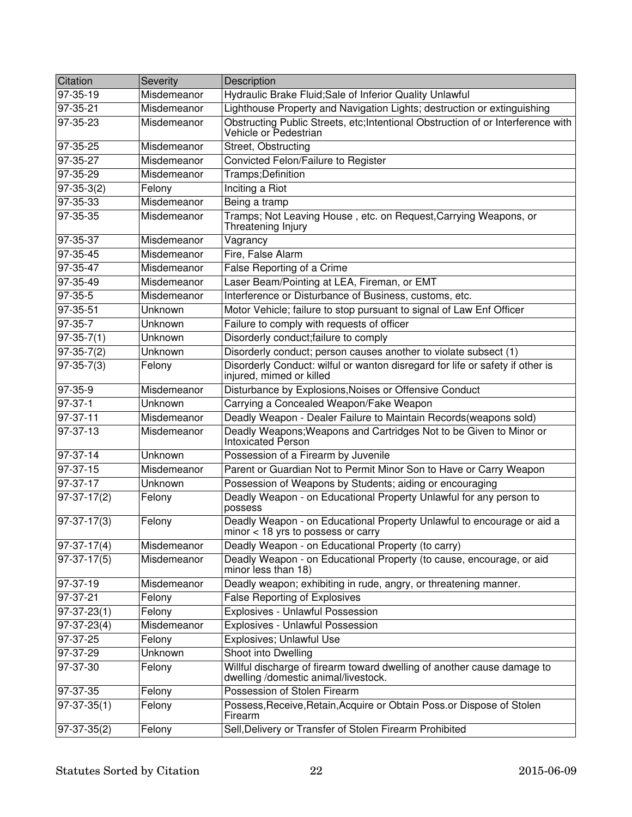| Citation        | Severity    | Description                                                                                                     |
|-----------------|-------------|-----------------------------------------------------------------------------------------------------------------|
| 97-35-19        | Misdemeanor | Hydraulic Brake Fluid; Sale of Inferior Quality Unlawful                                                        |
| $97 - 35 - 21$  | Misdemeanor | Lighthouse Property and Navigation Lights; destruction or extinguishing                                         |
| 97-35-23        | Misdemeanor | Obstructing Public Streets, etc; Intentional Obstruction of or Interference with<br>Vehicle or Pedestrian       |
| 97-35-25        | Misdemeanor | Street, Obstructing                                                                                             |
| 97-35-27        | Misdemeanor | Convicted Felon/Failure to Register                                                                             |
| 97-35-29        | Misdemeanor | Tramps;Definition                                                                                               |
| $97-35-3(2)$    | Felony      | <b>Inciting a Riot</b>                                                                                          |
| 97-35-33        | Misdemeanor | Being a tramp                                                                                                   |
| 97-35-35        | Misdemeanor | Tramps; Not Leaving House, etc. on Request, Carrying Weapons, or<br>Threatening Injury                          |
| 97-35-37        | Misdemeanor | Vagrancy                                                                                                        |
| 97-35-45        | Misdemeanor | Fire, False Alarm                                                                                               |
| 97-35-47        | Misdemeanor | False Reporting of a Crime                                                                                      |
| 97-35-49        | Misdemeanor | Laser Beam/Pointing at LEA, Fireman, or EMT                                                                     |
| $97 - 35 - 5$   | Misdemeanor | Interference or Disturbance of Business, customs, etc.                                                          |
| 97-35-51        | Unknown     | Motor Vehicle; failure to stop pursuant to signal of Law Enf Officer                                            |
| 97-35-7         | Unknown     | Failure to comply with requests of officer                                                                      |
| $97-35-7(1)$    | Unknown     | Disorderly conduct; failure to comply                                                                           |
| $97-35-7(2)$    | Unknown     | Disorderly conduct; person causes another to violate subsect (1)                                                |
| $97-35-7(3)$    | Felony      | Disorderly Conduct: wilful or wanton disregard for life or safety if other is<br>injured, mimed or killed       |
| 97-35-9         | Misdemeanor | Disturbance by Explosions, Noises or Offensive Conduct                                                          |
| 97-37-1         | Unknown     | Carrying a Concealed Weapon/Fake Weapon                                                                         |
| $97-37-11$      | Misdemeanor | Deadly Weapon - Dealer Failure to Maintain Records(weapons sold)                                                |
| 97-37-13        | Misdemeanor | Deadly Weapons; Weapons and Cartridges Not to be Given to Minor or<br>Intoxicated Person                        |
| 97-37-14        | Unknown     | Possession of a Firearm by Juvenile                                                                             |
| 97-37-15        | Misdemeanor | Parent or Guardian Not to Permit Minor Son to Have or Carry Weapon                                              |
| 97-37-17        | Unknown     | Possession of Weapons by Students; aiding or encouraging                                                        |
| $97-37-17(2)$   | Felony      | Deadly Weapon - on Educational Property Unlawful for any person to<br>possess                                   |
| $97-37-17(3)$   | Felony      | Deadly Weapon - on Educational Property Unlawful to encourage or aid a<br>minor $<$ 18 yrs to possess or carry  |
| $ 97-37-17(4) $ | Misdemeanor | Deadly Weapon - on Educational Property (to carry)                                                              |
| $97-37-17(5)$   | Misdemeanor | Deadly Weapon - on Educational Property (to cause, encourage, or aid<br>minor less than 18)                     |
| 97-37-19        | Misdemeanor | Deadly weapon; exhibiting in rude, angry, or threatening manner.                                                |
| 97-37-21        | Felony      | <b>False Reporting of Explosives</b>                                                                            |
| $97-37-23(1)$   | Felony      | Explosives - Unlawful Possession                                                                                |
| $97-37-23(4)$   | Misdemeanor | Explosives - Unlawful Possession                                                                                |
| $97-37-25$      | Felony      | Explosives; Unlawful Use                                                                                        |
| 97-37-29        | Unknown     | Shoot into Dwelling                                                                                             |
| 97-37-30        | Felony      | Willful discharge of firearm toward dwelling of another cause damage to<br>dwelling /domestic animal/livestock. |
| 97-37-35        | Felony      | Possession of Stolen Firearm                                                                                    |
| $97-37-35(1)$   | Felony      | Possess, Receive, Retain, Acquire or Obtain Poss.or Dispose of Stolen<br>Firearm                                |
| $97-37-35(2)$   | Felony      | Sell, Delivery or Transfer of Stolen Firearm Prohibited                                                         |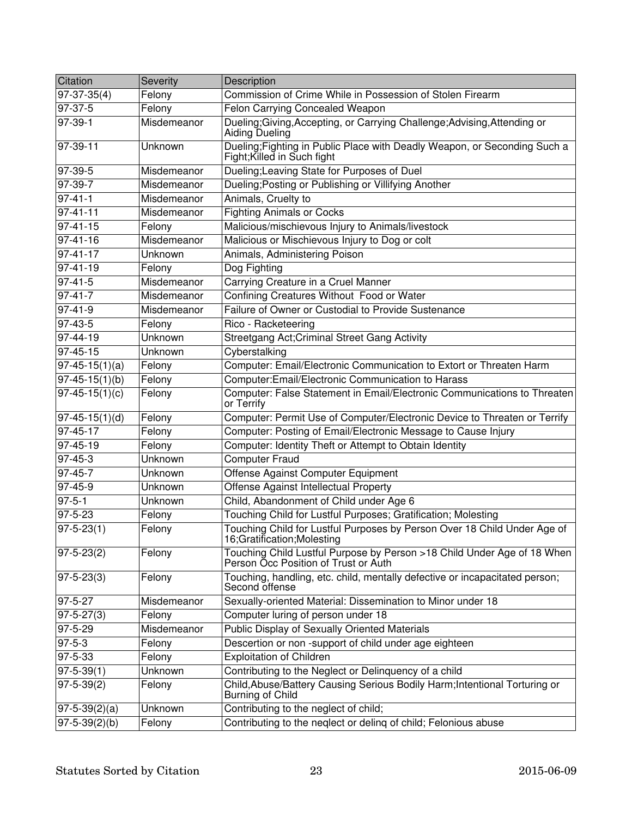| Citation                | Severity    | Description                                                                                                     |
|-------------------------|-------------|-----------------------------------------------------------------------------------------------------------------|
| $97-37-35(4)$           | Felony      | Commission of Crime While in Possession of Stolen Firearm                                                       |
| 97-37-5                 | Felony      | Felon Carrying Concealed Weapon                                                                                 |
| 97-39-1                 | Misdemeanor | Dueling; Giving, Accepting, or Carrying Challenge; Advising, Attending or<br>Aiding Dueling                     |
| 97-39-11                | Unknown     | Dueling; Fighting in Public Place with Deadly Weapon, or Seconding Such a<br>Fight; Killed in Such fight        |
| 97-39-5                 | Misdemeanor | Dueling; Leaving State for Purposes of Duel                                                                     |
| 97-39-7                 | Misdemeanor | Dueling; Posting or Publishing or Villifying Another                                                            |
| $97 - 41 - 1$           | Misdemeanor | Animals, Cruelty to                                                                                             |
| $97 - 41 - 11$          | Misdemeanor | <b>Fighting Animals or Cocks</b>                                                                                |
| $97 - 41 - 15$          | Felony      | Malicious/mischievous Injury to Animals/livestock                                                               |
| 97-41-16                | Misdemeanor | Malicious or Mischievous Injury to Dog or colt                                                                  |
| 97-41-17                | Unknown     | Animals, Administering Poison                                                                                   |
| 97-41-19                | Felony      | Dog Fighting                                                                                                    |
| $97-41-5$               | Misdemeanor | Carrying Creature in a Cruel Manner                                                                             |
| $97 - 41 - 7$           | Misdemeanor | Confining Creatures Without Food or Water                                                                       |
| $97-41-9$               | Misdemeanor | Failure of Owner or Custodial to Provide Sustenance                                                             |
| $97-43-5$               | Felony      | Rico - Racketeering                                                                                             |
| $97-44-19$              | Unknown     | Streetgang Act; Criminal Street Gang Activity                                                                   |
| 97-45-15                | Unknown     | Cyberstalking                                                                                                   |
| $97-45-15(1)(a)$        | Felony      | Computer: Email/Electronic Communication to Extort or Threaten Harm                                             |
| $97-45-15(1)(b)$        | Felony      | Computer: Email/Electronic Communication to Harass                                                              |
| $97-45-15(1)(c)$        | Felony      | Computer: False Statement in Email/Electronic Communications to Threaten<br>or Terrify                          |
| $97-45-15(1)(d)$        | Felony      | Computer: Permit Use of Computer/Electronic Device to Threaten or Terrify                                       |
| $97 - 45 - 17$          | Felony      | Computer: Posting of Email/Electronic Message to Cause Injury                                                   |
| $97-45-19$              | Felony      | Computer: Identity Theft or Attempt to Obtain Identity                                                          |
| $97 - 45 - 3$           | Unknown     | <b>Computer Fraud</b>                                                                                           |
| $97 - 45 - 7$           | Unknown     | Offense Against Computer Equipment                                                                              |
| $97 - 45 - 9$           | Unknown     | Offense Against Intellectual Property                                                                           |
| $97 - 5 - 1$            | Unknown     | Child, Abandonment of Child under Age 6                                                                         |
| 97-5-23                 | Felony      | Touching Child for Lustful Purposes; Gratification; Molesting                                                   |
| $\overline{97-5-23}(1)$ | Felony      | Touching Child for Lustful Purposes by Person Over 18 Child Under Age of<br>16;Gratification;Molesting          |
| $97 - 5 - 23(2)$        | Felony      | Touching Child Lustful Purpose by Person >18 Child Under Age of 18 When<br>Person Occ Position of Trust or Auth |
| $97 - 5 - 23(3)$        | Felony      | Touching, handling, etc. child, mentally defective or incapacitated person;<br>Second offense                   |
| 97-5-27                 | Misdemeanor | Sexually-oriented Material: Dissemination to Minor under 18                                                     |
| $97 - 5 - 27(3)$        | Felony      | Computer luring of person under 18                                                                              |
| $97 - 5 - 29$           | Misdemeanor | <b>Public Display of Sexually Oriented Materials</b>                                                            |
| $97 - 5 - 3$            | Felony      | Descertion or non-support of child under age eighteen                                                           |
| $97 - 5 - 33$           | Felony      | <b>Exploitation of Children</b>                                                                                 |
| $97 - 5 - 39(1)$        | Unknown     | Contributing to the Neglect or Delinquency of a child                                                           |
| $97 - 5 - 39(2)$        | Felony      | Child, Abuse/Battery Causing Serious Bodily Harm; Intentional Torturing or<br><b>Burning of Child</b>           |
| $97-5-39(2)(a)$         | Unknown     | Contributing to the neglect of child;                                                                           |
| $97 - 5 - 39(2)(b)$     | Felony      | Contributing to the neglect or deling of child; Felonious abuse                                                 |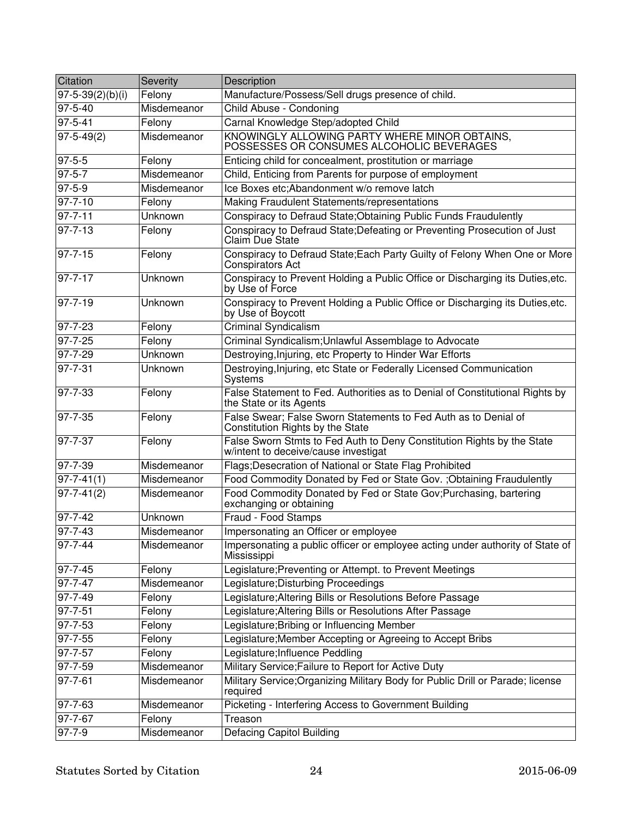| Citation               | Severity    | Description                                                                                                    |
|------------------------|-------------|----------------------------------------------------------------------------------------------------------------|
| $97 - 5 - 39(2)(b)(i)$ | Felony      | Manufacture/Possess/Sell drugs presence of child.                                                              |
| 97-5-40                | Misdemeanor | Child Abuse - Condoning                                                                                        |
| $97 - 5 - 41$          | Felony      | Carnal Knowledge Step/adopted Child                                                                            |
| $97 - 5 - 49(2)$       | Misdemeanor | KNOWINGLY ALLOWING PARTY WHERE MINOR OBTAINS,<br>POSSESSES OR CONSUMES ALCOHOLIC BEVERAGES                     |
| $97 - 5 - 5$           | Felony      | Enticing child for concealment, prostitution or marriage                                                       |
| $97 - 5 - 7$           | Misdemeanor | Child, Enticing from Parents for purpose of employment                                                         |
| $97 - 5 - 9$           | Misdemeanor | Ice Boxes etc; Abandonment w/o remove latch                                                                    |
| $97 - 7 - 10$          | Felony      | Making Fraudulent Statements/representations                                                                   |
| $97 - 7 - 11$          | Unknown     | Conspiracy to Defraud State; Obtaining Public Funds Fraudulently                                               |
| $97 - 7 - 13$          | Felony      | Conspiracy to Defraud State; Defeating or Preventing Prosecution of Just<br>Claim Due State                    |
| 97-7-15                | Felony      | Conspiracy to Defraud State; Each Party Guilty of Felony When One or More<br><b>Conspirators Act</b>           |
| 97-7-17                | Unknown     | Conspiracy to Prevent Holding a Public Office or Discharging its Duties, etc.<br>by Use of Force               |
| 97-7-19                | Unknown     | Conspiracy to Prevent Holding a Public Office or Discharging its Duties, etc.<br>by Use of Boycott             |
| $97 - 7 - 23$          | Felony      | <b>Criminal Syndicalism</b>                                                                                    |
| $97 - 7 - 25$          | Felony      | Criminal Syndicalism; Unlawful Assemblage to Advocate                                                          |
| $97 - 7 - 29$          | Unknown     | Destroying, Injuring, etc Property to Hinder War Efforts                                                       |
| $97 - 7 - 31$          | Unknown     | Destroying, Injuring, etc State or Federally Licensed Communication<br><b>Systems</b>                          |
| 97-7-33                | Felony      | False Statement to Fed. Authorities as to Denial of Constitutional Rights by<br>the State or its Agents        |
| 97-7-35                | Felony      | False Swear; False Sworn Statements to Fed Auth as to Denial of<br>Constitution Rights by the State            |
| 97-7-37                | Felony      | False Sworn Stmts to Fed Auth to Deny Constitution Rights by the State<br>w/intent to deceive/cause investigat |
| 97-7-39                | Misdemeanor | Flags; Desecration of National or State Flag Prohibited                                                        |
| $97 - 7 - 41(1)$       | Misdemeanor | Food Commodity Donated by Fed or State Gov. ; Obtaining Fraudulently                                           |
| $97 - 7 - 41(2)$       | Misdemeanor | Food Commodity Donated by Fed or State Gov; Purchasing, bartering<br>exchanging or obtaining                   |
| 97-7-42                | Unknown     | Fraud - Food Stamps                                                                                            |
| $97 - 7 - 43$          | Misdemeanor | Impersonating an Officer or employee                                                                           |
| 97-7-44                | Misdemeanor | Impersonating a public officer or employee acting under authority of State of<br>Mississippi                   |
| $97 - 7 - 45$          | Felony      | Legislature; Preventing or Attempt. to Prevent Meetings                                                        |
| 97-7-47                | Misdemeanor | Legislature; Disturbing Proceedings                                                                            |
| $97 - 7 - 49$          | Felony      | Legislature; Altering Bills or Resolutions Before Passage                                                      |
| 97-7-51                | Felony      | Legislature; Altering Bills or Resolutions After Passage                                                       |
| 97-7-53                | Felony      | Legislature; Bribing or Influencing Member                                                                     |
| 97-7-55                | Felony      | Legislature; Member Accepting or Agreeing to Accept Bribs                                                      |
| $97 - 7 - 57$          | Felony      | Legislature; Influence Peddling                                                                                |
| $97 - 7 - 59$          | Misdemeanor | Military Service; Failure to Report for Active Duty                                                            |
| 97-7-61                | Misdemeanor | Military Service; Organizing Military Body for Public Drill or Parade; license<br>required                     |
| 97-7-63                | Misdemeanor | Picketing - Interfering Access to Government Building                                                          |
| 97-7-67                | Felony      | Treason                                                                                                        |
| $97 - 7 - 9$           | Misdemeanor | <b>Defacing Capitol Building</b>                                                                               |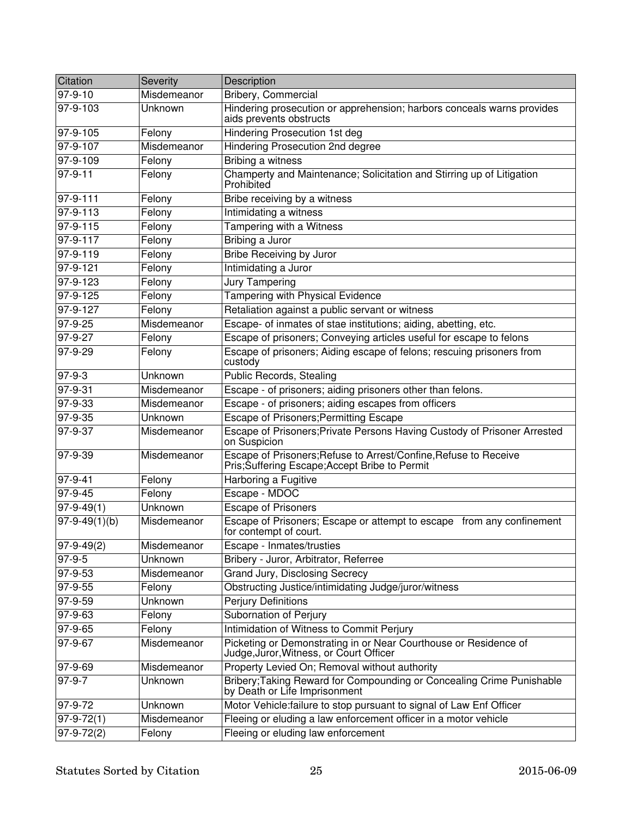| Citation            | Severity       | Description                                                                                                      |
|---------------------|----------------|------------------------------------------------------------------------------------------------------------------|
| $97 - 9 - 10$       | Misdemeanor    | Bribery, Commercial                                                                                              |
| $97 - 9 - 103$      | Unknown        | Hindering prosecution or apprehension; harbors conceals warns provides<br>aids prevents obstructs                |
| 97-9-105            | Felony         | <b>Hindering Prosecution 1st deg</b>                                                                             |
| 97-9-107            | Misdemeanor    | <b>Hindering Prosecution 2nd degree</b>                                                                          |
| 97-9-109            | Felony         | <b>Bribing a witness</b>                                                                                         |
| $97 - 9 - 11$       | Felony         | Champerty and Maintenance; Solicitation and Stirring up of Litigation<br>Prohibited                              |
| 97-9-111            | Felony         | Bribe receiving by a witness                                                                                     |
| 97-9-113            | Felony         | Intimidating a witness                                                                                           |
| 97-9-115            | Felony         | Tampering with a Witness                                                                                         |
| 97-9-117            | Felony         | Bribing a Juror                                                                                                  |
| 97-9-119            | Felony         | <b>Bribe Receiving by Juror</b>                                                                                  |
| 97-9-121            | Felony         | Intimidating a Juror                                                                                             |
| $97 - 9 - 123$      | Felony         | <b>Jury Tampering</b>                                                                                            |
| $97 - 9 - 125$      | Felony         | Tampering with Physical Evidence                                                                                 |
| $97 - 9 - 127$      | Felony         | Retaliation against a public servant or witness                                                                  |
| 97-9-25             | Misdemeanor    | Escape- of inmates of stae institutions; aiding, abetting, etc.                                                  |
| $97 - 9 - 27$       | Felony         | Escape of prisoners; Conveying articles useful for escape to felons                                              |
| $97-9-29$           | Felony         | Escape of prisoners; Aiding escape of felons; rescuing prisoners from<br>custody                                 |
| 97-9-3              | Unknown        | Public Records, Stealing                                                                                         |
| 97-9-31             | Misdemeanor    | Escape - of prisoners; aiding prisoners other than felons.                                                       |
| 97-9-33             | Misdemeanor    | Escape - of prisoners; aiding escapes from officers                                                              |
| $97 - 9 - 35$       | Unknown        | <b>Escape of Prisoners; Permitting Escape</b>                                                                    |
| $97 - 9 - 37$       | Misdemeanor    | Escape of Prisoners; Private Persons Having Custody of Prisoner Arrested<br>on Suspicion                         |
| 97-9-39             | Misdemeanor    | Escape of Prisoners; Refuse to Arrest/Confine, Refuse to Receive<br>Pris;Suffering Escape;Accept Bribe to Permit |
| 97-9-41             | Felony         | Harboring a Fugitive                                                                                             |
| $97 - 9 - 45$       | Felony         | Escape - MDOC                                                                                                    |
| $ 97-9-49(1) $      | <b>Unknown</b> | <b>Escape of Prisoners</b>                                                                                       |
| $97 - 9 - 49(1)(b)$ | Misdemeanor    | Escape of Prisoners; Escape or attempt to escape from any confinement<br>for contempt of court.                  |
| $\sqrt{97-9-49(2)}$ | Misdemeanor    | Escape - Inmates/trusties                                                                                        |
| 97-9-5              | Unknown        | Bribery - Juror, Arbitrator, Referree                                                                            |
| 97-9-53             | Misdemeanor    | Grand Jury, Disclosing Secrecy                                                                                   |
| 97-9-55             | Felony         | Obstructing Justice/intimidating Judge/juror/witness                                                             |
| 97-9-59             | <b>Unknown</b> | <b>Perjury Definitions</b>                                                                                       |
| 97-9-63             | Felony         | Subornation of Perjury                                                                                           |
| 97-9-65             | Felony         | Intimidation of Witness to Commit Perjury                                                                        |
| 97-9-67             | Misdemeanor    | Picketing or Demonstrating in or Near Courthouse or Residence of<br>Judge,Juror,Witness, or Court Officer        |
| 97-9-69             | Misdemeanor    | Property Levied On; Removal without authority                                                                    |
| 97-9-7              | Unknown        | Bribery; Taking Reward for Compounding or Concealing Crime Punishable<br>by Death or Life Imprisonment           |
| 97-9-72             | Unknown        | Motor Vehicle: failure to stop pursuant to signal of Law Enf Officer                                             |
| $97 - 9 - 72(1)$    | Misdemeanor    | Fleeing or eluding a law enforcement officer in a motor vehicle                                                  |
| $97-9-72(2)$        | Felony         | Fleeing or eluding law enforcement                                                                               |